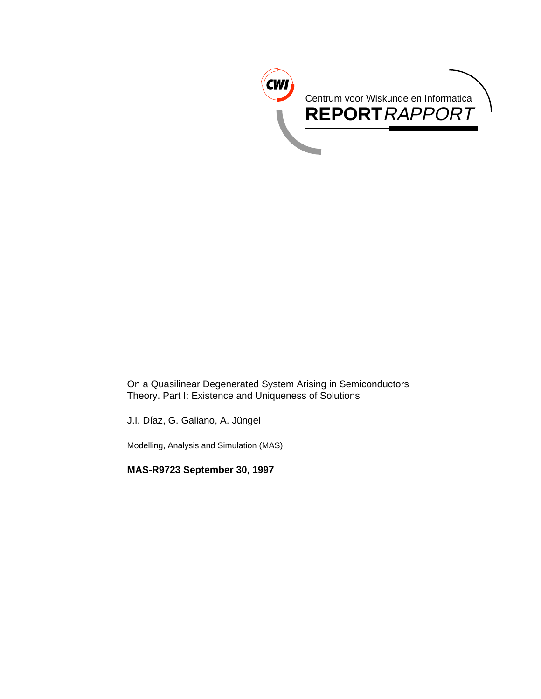

On a Quasilinear Degenerated System Arising in Semiconductors Theory. Part I: Existence and Uniqueness of Solutions

J.I. Díaz, G. Galiano, A. Jüngel

Modelling, Analysis and Simulation (MAS)

**MAS-R9723 September 30, 1997**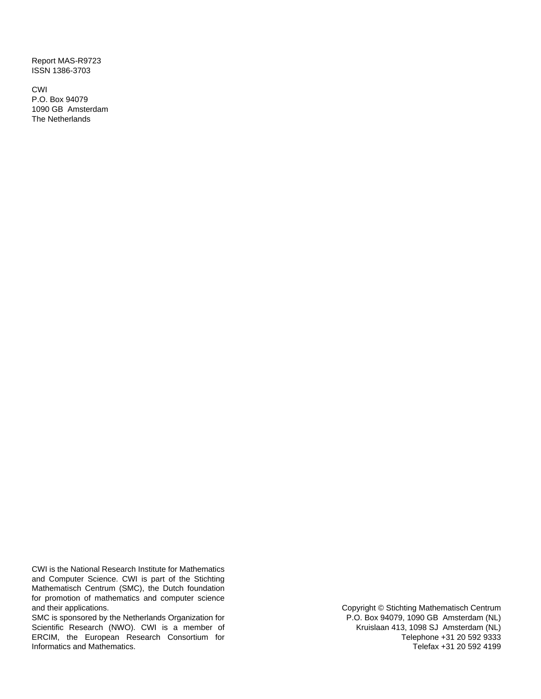Report MAS-R9723 ISSN 1386-3703

CWI P.O. Box 94079 1090 GB Amsterdam The Netherlands

CWI is the National Research Institute for Mathematics and Computer Science. CWI is part of the Stichting Mathematisch Centrum (SMC), the Dutch foundation for promotion of mathematics and computer science and their applications.

SMC is sponsored by the Netherlands Organization for Scientific Research (NWO). CWI is a member of ERCIM, the European Research Consortium for Informatics and Mathematics.

Copyright © Stichting Mathematisch Centrum P.O. Box 94079, 1090 GB Amsterdam (NL) Kruislaan 413, 1098 SJ Amsterdam (NL) Telephone +31 20 592 9333 Telefax +31 20 592 4199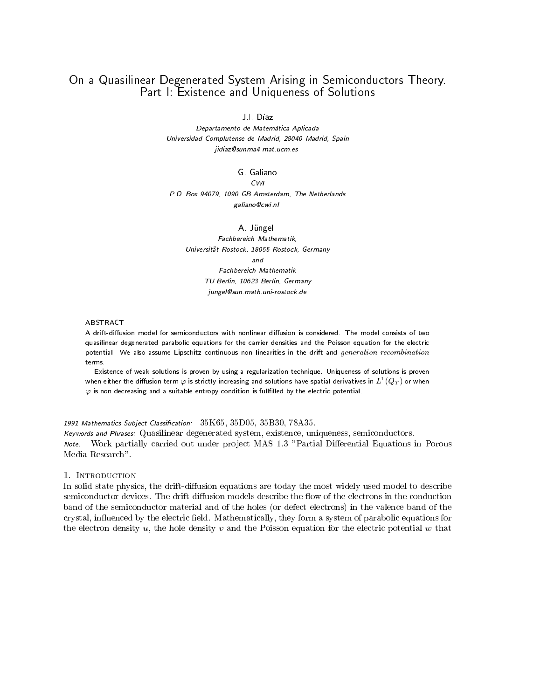# On a Quasilinear Degenerated System Arising in Semiconductors Theory. Part I: Existence and Uniqueness of Solutions

J.I. Díaz

Departamento de Matemática Aplicada Universidad Complutense de Madrid, 28040 Madrid, Spain jidiaz@sunma4.mat.ucm.es

G. Galiano

 $CWI$ 

P.O. Box 94079, 1090 GB Amsterdam, The Netherlands galiano@cwi.nl

A Jüngel

Fachbereich Mathematik, Universitat Rostock, 18055 Rostock, Germany  $and$ Fachbereich Mathematik TU Berlin, 10623 Berlin, Germany jungel@sun.math.uni-rostock.de

A drift-diffusion model for semiconductors with nonlinear diffusion is considered. The model consists of two quasilinear degenerated parabolic equations for the carrier densities and the Poisson equation for the electric potential. We also assume Lipschitz continuous non linearities in the drift and generation-recombination terms.

Existence of weak solutions is proven by using a regularization technique. Uniqueness of solutions is proven when either the diffusion term  $\varphi$  is strictly increasing and solutions have spatial derivatives in  $L^+(Q_T)$  or when  $\varphi$  is non decreasing and a suitable entropy condition is fullfilled by the electric potential.

# 1991 Mathematics Subject Classification: 35K65, 35D05, 35B30, 78A35.

Keywords and Phrases: Quasilinear degenerated system, existence, uniqueness, semiconductors. Note: Work partially carried out under project MAS 1.3 "Partial Differential Equations in Porous Media Research".

## 1. Introduction

In solid state physics, the drift-diffusion equations are today the most widely used model to describe semiconductor devices. The drift-diffusion models describe the flow of the electrons in the conduction band of the semiconductor material and of the holes (or defect electrons) in the valence band of the crystal, influenced by the electric field. Mathematically, they form a system of parabolic equations for the electron density u, the hole density v and the Poisson equation for the electric potential w that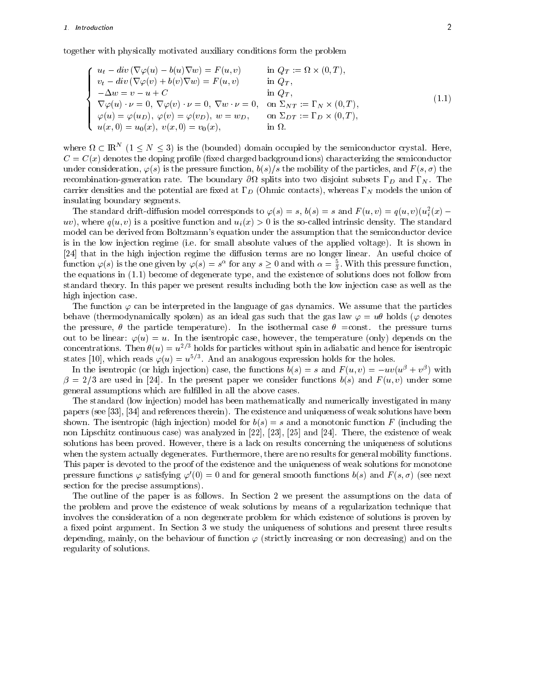# 1. Introduction 2

together with physically motivated auxiliary conditions form the problem

$$
\begin{cases}\nu_t - div \left(\nabla \varphi(u) - b(u)\nabla w\right) = F(u, v) & \text{in } Q_T := \Omega \times (0, T), \\
v_t - div \left(\nabla \varphi(v) + b(v)\nabla w\right) = F(u, v) & \text{in } Q_T, \\
-\Delta w = v - u + C & \text{in } Q_T, \\
\nabla \varphi(u) \cdot \nu = 0, \nabla \varphi(v) \cdot \nu = 0, \nabla w \cdot \nu = 0, \text{ on } \Sigma_{NT} := \Gamma_N \times (0, T), \\
\varphi(u) = \varphi(u_D), \varphi(v) = \varphi(v_D), w = w_D, \text{ on } \Sigma_{DT} := \Gamma_D \times (0, T), \\
u(x, 0) = u_0(x), v(x, 0) = v_0(x), \text{ in } \Omega.\n\end{cases}
$$
\n(1.1)

where  $\Omega \subset \mathbb{R}^N$  ( $1 \leq N \leq 3$ ) is the (bounded) domain occupied by the semiconductor crystal. Here,  $C = C(x)$  denotes the doping profile (fixed charged background ions) characterizing the semiconductor under consideration,  $\varphi(s)$  is the pressure function,  $b(s)/s$  the mobility of the particles, and  $F(s, \sigma)$  the recombination-generation rate. The boundary @ splits into two disjoint subsets D and N .The carrier densities and the potential are fixed at  $\Gamma_D$  (Ohmic contacts), whereas  $\Gamma_N$  models the union of insulating boundary segments.

The standard drift-diffusion model corresponds to  $\varphi(s) = s$ ,  $\varphi(s) = s$  and  $F(u, v) = q(u, v)(u_i^*(x)$ uv), where  $q(u, v)$  is a positive function and  $u_i(x) > 0$  is the so-called intrinsic density. The standard model can be derived from Boltzmann's equation under the assumption that the semiconductor device is in the low injection regime (i.e. for small absolute values of the applied voltage). It is shown in  $[24]$  that in the high injection regime the diffusion terms are no longer linear. An useful choice of function  $\varphi(s)$  is the one given by  $\varphi(s) = s^{\alpha}$  for any  $s \geq 0$  and with  $\alpha = \frac{3}{3}$ . With this pressure function, the equations in (1.1) become of degenerate type, and the existence of solutions of solutions does not follow from  $\mathbf{f}(\mathbf{f})$ standard theory. In this paper we present results including both the low injection case as well as the high injection case.

The function  $\varphi$  can be interpreted in the language of gas dynamics. We assume that the particles behave (thermodynamically spoken) as an ideal gas such that the gas law  $\varphi = u\theta$  holds ( $\varphi$  denotes the pressure,  $\theta$  the particle temperature). In the isothermal case  $\theta$  =const. the pressure turns out to be linear:  $\varphi(u) = u$ . In the isentropic case, however, the temperature (only) depends on the concentrations. Then  $\theta(u) = u^{2/3}$  holds for particles without spin in adiabatic and hence for isentropic states  $[10]$ , which reads  $\varphi(u) = u^{\sigma/\sigma}$ . And an analogous expression holds for the holes.

In the isentropic (or high injection) case, the functions  $v(s) = s$  and  $F(u, v) = -uv(u^* + v^*)$  with  $\beta = 2/3$  are used in [24]. In the present paper we consider functions  $b(s)$  and  $F(u, v)$  under some general assumptions which are fullled in all the above cases.

The standard (low injection) model has been mathematically and numerically investigated in many papers (see [33], [34] and references therein). The existence and uniqueness of weak solutions have been shown. The isentropic (high injection) model for  $b(s) = s$  and a monotonic function F (including the non Lipschitz continuous case) was analyzed in [22], [23], [25] and [24]. There, the existence of weak solutions has been proved. However, there is a lack on results concerning the uniqueness of solutions when the system actually degenerates. Furthermore, there are no results for general mobility functions. This paper is devoted to the proof of the existence and the uniqueness of weak solutions for monotone pressure functions  $\varphi$  satisfying  $\varphi'(0) = 0$  and for general smooth functions  $b(s)$  and  $F(s, \sigma)$  (see next section for the precise assumptions).

The outline of the paper is as follows. In Section 2 we present the assumptions on the data of the problem and prove the existence of weak solutions by means of a regularization technique that involves the consideration of a non degenerate problem for which existence of solutions is proven by a fixed point argument. In Section 3 we study the uniqueness of solutions and present three results depending, mainly, on the behaviour of function  $\varphi$  (strictly increasing or non decreasing) and on the regularity of solutions.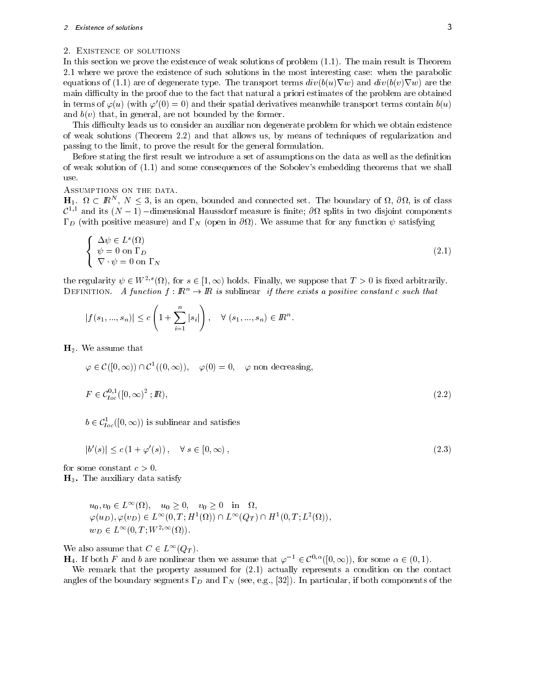# 2. Existence of solutions 3

### 2. Existence of solutions

In this section we prove the existence of weak solutions of problem (1.1). The main result is Theorem 2.1 where we prove the existence of such solutions in the most interesting case: when the parabolic equations of (1.1) are of degenerate type. The transport terms  $div(b(u)\nabla w)$  and  $div(b(v)\nabla w)$  are the main difficulty in the proof due to the fact that natural a priori estimates of the problem are obtained in terms of  $\varphi(u)$  (with  $\varphi'(0) = 0$ ) and their spatial derivatives meanwhile transport terms contain  $b(u)$ and  $b(v)$  that, in general, are not bounded by the former.

This difficulty leads us to consider an auxiliar non degenerate problem for which we obtain existence of weak solutions (Theorem 2.2) and that allows us, by means of techniques of regularization and passing to the limit, to prove the result for the general formulation.

Before stating the first result we introduce a set of assumptions on the data as well as the definition of weak solution of (1.1) and some consequences of the Sobolev's embedding theorems that we shall use.

Assumptions on the data.

 $H_1, \Omega \subset \mathbb{R}^n, N \leq 3$ , is an open, bounded and connected set. The boundary of  $\Omega$ ,  $\partial\Omega$ , is of class  $\mathcal{C}^{1,1}$  and its  $(N-1)$  -dimensional Haussdorf measure is finite;  $\partial\Omega$  splits in two disjoint components D (with positive measure) and N (open in @ ). We assume that for any function satisfying

$$
\begin{cases} \Delta \psi \in L^{s}(\Omega) \\ \psi = 0 \text{ on } \Gamma_{D} \\ \nabla \cdot \psi = 0 \text{ on } \Gamma_{N} \end{cases}
$$
\n(2.1)

the regularity  $\psi \in W^{2,s}(\Omega)$ , for  $s \in [1,\infty)$  holds. Finally, we suppose that  $T > 0$  is fixed arbitrarily. DEFINITION. A function  $f : \mathbb{R}^n \to \mathbb{R}$  is sublinear if there exists a positive constant c such that

$$
|f(s_1,...,s_n)| \le c\left(1+\sum_{i=1}^n |s_i|\right), \quad \forall (s_1,...,s_n) \in \mathbb{R}^n.
$$

 $H<sub>2</sub>$ . We assume that

 $\varphi \in \mathcal{C}([0,\infty)) \cap \mathcal{C}^1((0,\infty)), \quad \varphi(0) = 0, \quad \varphi \text{ non decreasing},$ 

$$
F \in \mathcal{C}_{loc}^{0,1}([0,\infty)^2;I\!\!R),\tag{2.2}
$$

 $b \in \mathcal{C}_{loc}^1([0,\infty))$  is sublinear and satisfies

$$
|b'(s)| \le c\left(1 + \varphi'(s)\right), \quad \forall \ s \in [0, \infty), \tag{2.3}
$$

for some constant  $c > 0$ .  $H_3$ . The auxiliary data satisfy

$$
u_0, v_0 \in L^{\infty}(\Omega), \quad u_0 \ge 0, \quad v_0 \ge 0 \quad \text{in} \quad \Omega,
$$
  

$$
\varphi(u_D), \varphi(v_D) \in L^{\infty}(0, T; H^1(\Omega)) \cap L^{\infty}(Q_T) \cap H^1(0, T; L^2(\Omega)),
$$
  

$$
w_D \in L^{\infty}(0, T; W^{2, \infty}(\Omega)).
$$

We also assume that  $C \in L^{\infty}(Q_T)$ .

 $\mathbf{H}_4$ . If both F and b are nonlinear then we assume that  $\varphi^{-1} \in \mathcal{C}^{0,\alpha}([0,\infty))$ , for some  $\alpha \in (0,1)$ .

We remark that the property assumed for (2.1) actually represents a condition on the contact angles of the boundary segments  $\Gamma_D$  and  $\Gamma_N$  (see, e.g., [32]). In particular, if both components of the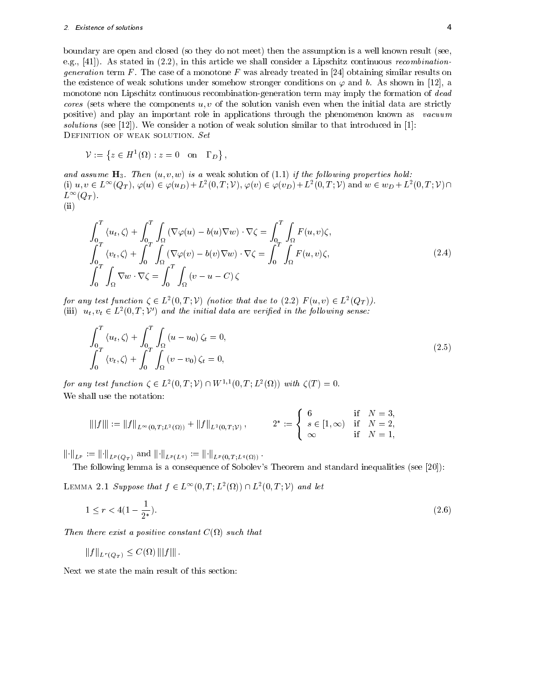boundary are open and closed (so they do not meet) then the assumption is a well known result (see, e.g., [41]). As stated in (2.2), in this article we shall consider a Lipschitz continuous recombinationgeneration term F. The case of a monotone F was already treated in [24] obtaining similar results on the existence of weak solutions under somehow stronger conditions on  $\varphi$  and b. As shown in [12], a monotone non Lipschitz continuous recombination-generation term may imply the formation of dead cores (sets where the components  $u, v$  of the solution vanish even when the initial data are strictly positive) and play an important role in applications through the phenomenon known as vacuum solutions (see [12]). We consider a notion of weak solution similar to that introduced in [1]: DEFINITION OF WEAK SOLUTION. Set

$$
\mathcal{V} := \left\{ z \in H^1(\Omega) : z = 0 \quad \text{on} \quad \Gamma_D \right\},\
$$

and assume  $H_3$ . Then  $(u, v, w)$  is a weak solution of (1.1) if the following properties hold:  $(i)$   $u, v \in L^{\infty}(Q_T), \varphi(u) \in \varphi(u_D) + L^2(0,T; \mathcal{V}), \varphi(v) \in \varphi(v_D) + L^2(0,T; \mathcal{V})$  and  $w \in w_D + L^2(0,T; \mathcal{V}) \cap$  $L^{\infty}(Q_T)$ . (ii)

$$
\int_{0}^{T} \langle u_t, \zeta \rangle + \int_{0}^{T} \int_{\Omega} (\nabla \varphi(u) - b(u)\nabla w) \cdot \nabla \zeta = \int_{0}^{T} \int_{\Omega} F(u, v)\zeta,
$$
\n
$$
\int_{0}^{T} \langle v_t, \zeta \rangle + \int_{0}^{T} \int_{\Omega} (\nabla \varphi(v) - b(v)\nabla w) \cdot \nabla \zeta = \int_{0}^{T} \int_{\Omega} F(u, v)\zeta,
$$
\n
$$
\int_{0}^{T} \int_{\Omega} \nabla w \cdot \nabla \zeta = \int_{0}^{T} \int_{\Omega} (v - u - C) \zeta
$$
\n(2.4)

for any test function  $\zeta \in L^2(0,T; \mathcal{V})$  (notice that due to  $(2.2)$   $F(u, v) \in L^2(Q_T)$ ). (iii)  $u_t, v_t \in L^2(0,T; \mathcal{V})$  and the initial data are verified in the following sense:

$$
\int_0^T \langle u_t, \zeta \rangle + \int_0^T \int_\Omega (u - u_0) \zeta_t = 0,
$$
\n
$$
\int_0^T \langle v_t, \zeta \rangle + \int_0^T \int_\Omega (v - v_0) \zeta_t = 0,
$$
\n(2.5)

for any test function  $\zeta \in L^2(0,T; \mathcal{V}) \cap W^{1,1}(0,T; L^2(\Omega))$  with  $\zeta(T) = 0$ . We shall use the notation:

$$
|||f||| := ||f||_{L^{\infty}(0,T;L^{2}(\Omega))} + ||f||_{L^{2}(0,T;V)}, \qquad 2^{*} := \begin{cases} 6 & \text{if } N = 3, \\ s \in [1,\infty) & \text{if } N = 2, \\ \infty & \text{if } N = 1, \end{cases}
$$

 $\left\|\cdot\right\|_{L^p} := \left\|\cdot\right\|_{L^p(Q_T)}$  and  $\left\|\cdot\right\|_{L^p(L^q)} := \left\|\cdot\right\|_{L^p(0,T;L^q(\Omega))}.$ 

The following lemma is a consequence of Sobolev's Theorem and standard inequalities (see [20]):

LEMMA 2.1 Suppose that  $f \in L^{\infty}(0,T; L^{2}(\Omega)) \cap L^{2}(0,T; \mathcal{V})$  and let

$$
1 \le r < 4(1 - \frac{1}{2^*}).\tag{2.6}
$$

Then the constant  $\mathbb{R}$  and  $\mathbb{R}$  are existent C(s) such that  $\mathbb{R}$  and  $\mathbb{R}$  are existent C(s) such that  $\mathbb{R}$ 

$$
||f||_{L^r(Q_T)} \leq C(\Omega) |||f|||.
$$

Next we state the main result of this section: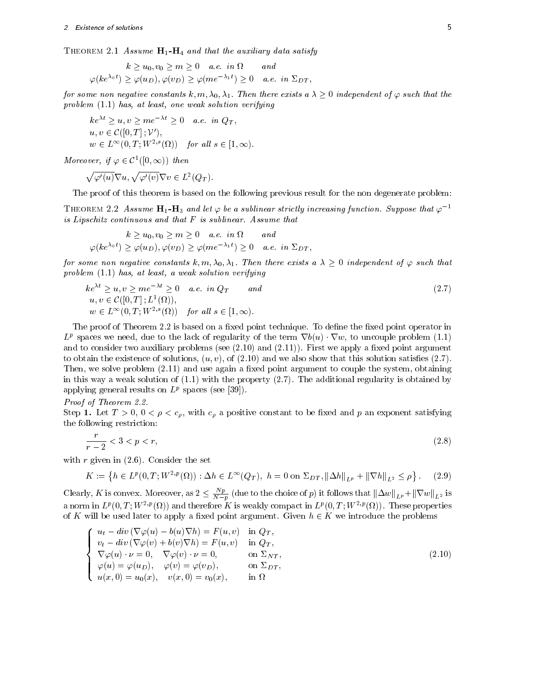THEOREM 2.1 Assume  $H_1-H_4$  and that the auxiliary data satisfy

$$
k \ge u_0, v_0 \ge m \ge 0 \quad a.e. \infty \quad and
$$
  

$$
\varphi(ke^{\lambda_0 t}) \ge \varphi(u_D), \varphi(v_D) \ge \varphi(m e^{-\lambda_1 t}) \ge 0 \quad a.e. \infty \quad \text{in } \Sigma_{DT},
$$

for some non negative constants  $k, m, \lambda_0, \lambda_1$ . Then there exists a  $\lambda > 0$  independent of  $\varphi$  such that the problem (1.1) has, at least, one weak solution verifying

$$
ke^{\lambda t} \ge u, v \ge me^{-\lambda t} \ge 0
$$
 a.e. in  $Q_T$ ,  
\n $u, v \in \mathcal{C}([0, T]; \mathcal{V}')$ ,  
\n $w \in L^{\infty}(0, T; W^{2,s}(\Omega))$  for all  $s \in [1, \infty)$ .

Moreover, if  $\varphi \in \mathcal{C}^1([0,\infty))$  then

$$
\sqrt{\varphi'(u)}\nabla u, \sqrt{\varphi'(v)}\nabla v \in L^2(Q_T).
$$

The proof of this theorem is based on the following previous result for the non degenerate problem:

THEOREM 2.2 Assume  $H_1-H_3$  and let  $\varphi$  be a sublinear strictly increasing function. Suppose that  $\varphi^{-1}$ is Lipschitz continuous and that F is sublinear. Assume that

$$
k \ge u_0, v_0 \ge m \ge 0 \quad a.e. \infty \quad and
$$
  

$$
\varphi(ke^{\lambda_0 t}) \ge \varphi(u_D), \varphi(v_D) \ge \varphi(m e^{-\lambda_1 t}) \ge 0 \quad a.e. \infty \quad \text{in } \Sigma_{DT},
$$

for some non negative constants  $k, m, \lambda_0, \lambda_1$ . Then there exists a  $\lambda \geq 0$  independent of  $\varphi$  such that problem (1.1) has, at least, a weak solution verifying

$$
ke^{\lambda t} \ge u, v \ge me^{-\lambda t} \ge 0 \quad a.e. \infty q_T \quad and
$$
  
\n
$$
u, v \in \mathcal{C}([0, T]; L^1(\Omega)),
$$
  
\n
$$
w \in L^{\infty}(0, T; W^{2,s}(\Omega)) \quad \text{for all } s \in [1, \infty).
$$
\n(2.7)

The proof of Theorem 2.2 is based on a fixed point technique. To define the fixed point operator in  $L^p$  spaces we need, due to the lack of regularity of the term  $\nabla b(u) \cdot \nabla w$ , to uncouple problem (1.1) and to consider two auxiliary problems (see  $(2.10)$  and  $(2.11)$ ). First we apply a fixed point argument to obtain the existence of solutions,  $(u, v)$ , of  $(2.10)$  and we also show that this solution satisfies  $(2.7)$ . Then, we solve problem  $(2.11)$  and use again a fixed point argument to couple the system, obtaining in this way a weak solution of  $(1.1)$  with the property  $(2.7)$ . The additional regularity is obtained by applying general results on  $L^p$  spaces (see [39]).

Proof of Theorem 2.2.

Step 1. Let  $T > 0$ ,  $0 < \rho < c_{\rho}$ , with  $c_{\rho}$  a positive constant to be fixed and p an exponent satisfying the following restriction:

$$
\frac{r}{r-2} < 3 < p < r,\tag{2.8}
$$

with  $r$  given in  $(2.6)$ . Consider the set

$$
K := \left\{ h \in L^p(0, T; W^{2, p}(\Omega)) : \Delta h \in L^\infty(Q_T), \ h = 0 \text{ on } \Sigma_{DT}, \|\Delta h\|_{L^p} + \|\nabla h\|_{L^2} \le \rho \right\}.
$$
 (2.9)

Clearly, K is convex. Moreover, as  $2 \leq \frac{N}{N-p}$  (due to the choice of p) it follows that  $\|\Delta w\|_{L^p} + \|\nabla w\|_{L^2}$  is a norm in  $L^p(0, T; W^{-p}(M))$  and therefore  $K$  is weakly compact in  $L^p(0, T; W^{-p}(M))$ . These properties of K will be used later to apply a fixed point argument. Given  $h \in K$  we introduce the problems

$$
\begin{cases}\n u_t - div \left( \nabla \varphi(u) - b(u) \nabla h \right) = F(u, v) & \text{in } Q_T, \\
 v_t - div \left( \nabla \varphi(v) + b(v) \nabla h \right) = F(u, v) & \text{in } Q_T, \\
 \nabla \varphi(u) \cdot \nu = 0, & \nabla \varphi(v) \cdot \nu = 0, \\
 \varphi(u) = \varphi(u_D), & \varphi(v) = \varphi(v_D), & \text{on } \Sigma_{DT}, \\
 u(x, 0) = u_0(x), & v(x, 0) = v_0(x), & \text{in } \Omega\n\end{cases}
$$
\n(2.10)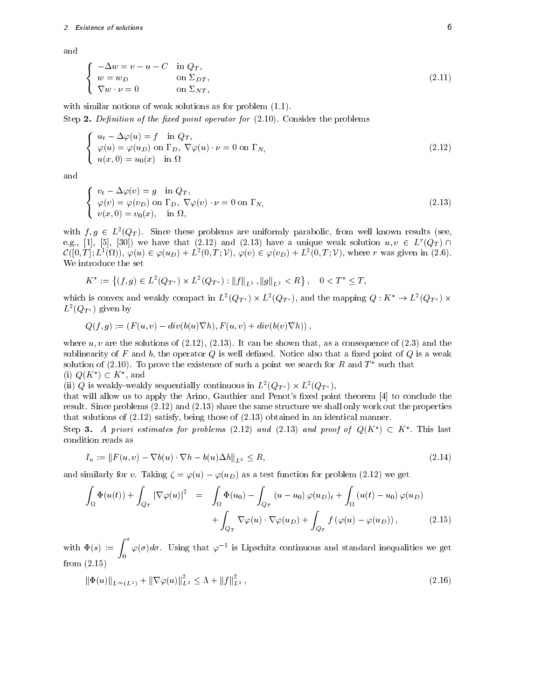and

$$
\begin{cases}\n-\Delta w = v - u - C & \text{in } Q_T, \\
w = w_D & \text{on } \Sigma_{DT}, \\
\nabla w \cdot \nu = 0 & \text{on } \Sigma_{NT,\n\end{cases}
$$
\n(2.11)

with similar notions of weak solutions as for problem  $(1.1)$ .

Step 2. Definition of the fixed point operator for  $(2.10)$ . Consider the problems

$$
\begin{cases}\n u_t - \Delta \varphi(u) = f & \text{in } Q_T, \\
 \varphi(u) = \varphi(u_D) & \text{on } \Gamma_D, \ \nabla \varphi(u) \cdot \nu = 0 & \text{on } \Gamma_N, \\
 u(x, 0) = u_0(x) & \text{in } \Omega\n\end{cases}
$$
\n(2.12)

and

$$
\begin{cases}\nv_t - \Delta \varphi(v) = g & \text{in } Q_T, \\
\varphi(v) = \varphi(v_D) & \text{on } \Gamma_D, \ \nabla \varphi(v) \cdot \nu = 0 \text{ on } \Gamma_N, \\
v(x, 0) = v_0(x), & \text{in } \Omega,\n\end{cases}
$$
\n(2.13)

with  $f, g \in L^2(Q_T)$ . Since these problems are uniformly parabolic, from well known results (see, e.g., [1], [5], [30]) we have that (2.12) and (2.13) have a unique weak solution  $u, v \in L^r(Q_T) \cap$  $\mathcal{C}([0,T];L^1(\Omega)),\,\varphi(u)\in\varphi(u_D)+L^2(0,T;\mathcal{V}),\,\varphi(v)\in\varphi(v_D)+L^2(0,T;\mathcal{V}),\,\text{where }r\text{ was given in (2.6).}$ We introduce the set

$$
K^* := \left\{ (f,g) \in L^2(Q_{T^*}) \times L^2(Q_{T^*}) : ||f||_{L^2}, ||g||_{L^2} < R \right\}, \quad 0 < T^* \leq T,
$$

which is convex and weakly compact in  $L^2(Q_{T^*}) \times L^2(Q_{T^*})$ , and the mapping  $Q: K^* \to L^2(Q_{T^*}) \times$  $L^-(QT^*)$  given by

$$
Q(f,g) := (F(u,v) - div(b(u)\nabla h), F(u,v) + div(b(v)\nabla h)),
$$

where  $u, v$  are the solutions of  $(2.12), (2.13)$ . It can be shown that, as a consequence of  $(2.3)$  and the sublinearity of F and b, the operator  $Q$  is well defined. Notice also that a fixed point of  $Q$  is a weak solution of (2.10). To prove the existence of such a point we search for  $R$  and  $T$  -such that (i)  $Q(K^*)\subset K^*$ , and

(ii) Q is weakly-weakly sequentially continuous in  $L^2(Q_{T^*}) \times L^2(Q_{T^*})$ ,

that will allow us to apply the Arino, Gauthier and Penot's fixed point theorem [4] to conclude the result. Since problems (2.12) and (2.13) share the same structure we shall only work out the properties that solutions of (2.12) satisfy, being those of (2.13) obtained in an identical manner.

Step 3. A priori estimates for problems (2.12) and (2.13) and proof of  $Q(K^*)\subset K^*$ . This last condition reads as

$$
I_u := ||F(u, v) - \nabla b(u) \cdot \nabla h - b(u)\Delta h||_{L^2} \le R,
$$
\n(2.14)

and similarly for v. Taking  $\zeta = \varphi(u) - \varphi(u_D)$  as a test function for problem (2.12) we get

$$
\int_{\Omega} \Phi(u(t)) + \int_{Q_T} |\nabla \varphi(u)|^2 = \int_{\Omega} \Phi(u_0) - \int_{Q_T} (u - u_0) \varphi(u_D)_t + \int_{\Omega} (u(t) - u_0) \varphi(u_D) + \int_{Q_T} \nabla \varphi(u) \cdot \nabla \varphi(u_D) + \int_{Q_T} f(\varphi(u) - \varphi(u_D)),
$$
\n(2.15)

with  $\Phi(s) := \int^s \varphi(\sigma) d\sigma$ . Using that  $\varphi^{-1}$  is Lipschitz continuous and standard inequalities we get from (2.15)

$$
\|\Phi(u)\|_{L^{\infty}(L^{1})} + \|\nabla \varphi(u)\|_{L^{2}}^{2} \leq \Lambda + \|f\|_{L^{2}}^{2},\tag{2.16}
$$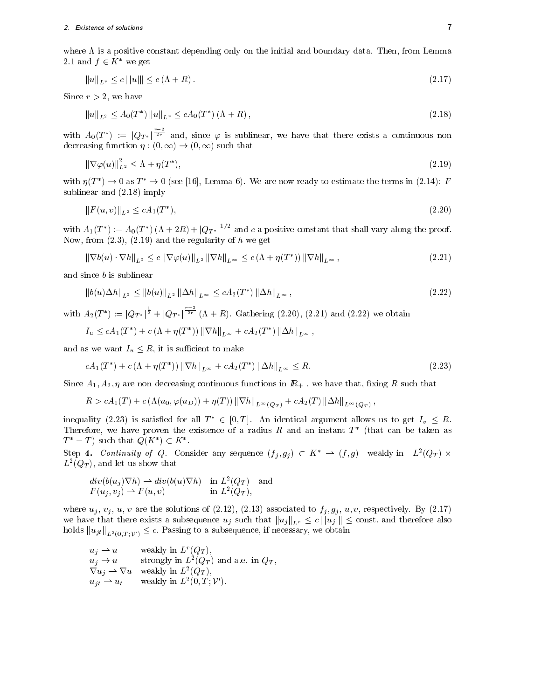where  $\Lambda$  is a positive constant depending only on the initial and boundary data. Then, from Lemma 2.1 and  $f \in K^*$  we get

$$
||u||_{L^r} \le c |||u||| \le c(\Lambda + R). \tag{2.17}
$$

Since  $r > 2$ , we have

$$
||u||_{L^{2}} \le A_{0}(T^{*}) ||u||_{L^{r}} \le cA_{0}(T^{*}) \left(\Lambda + R\right), \tag{2.18}
$$

with  $A_0(T^*) := |Q_{T^*}|^{\frac{2r}{2r}}$  and, since  $\varphi$  is sublinear, we have that there exists a continuous non decreasing function  $\eta : (0, \infty) \to (0, \infty)$  such that

$$
\|\nabla \varphi(u)\|_{L^2}^2 \le \Lambda + \eta(T^*),\tag{2.19}
$$

with  $\eta(T^*) \to 0$  as  $T^* \to 0$  (see [16], Lemma 6). We are now ready to estimate the terms in (2.14): F sublinear and (2.18) imply

$$
||F(u, v)||_{L^2} \le c A_1(T^*), \tag{2.20}
$$

with  $A_1(T^*) := A_0(T^*) (\Lambda + 2R) + |Q_{T^*}|^{1/2}$  and c a positive constant that shall vary along the proof. Now, from  $(2.3)$ ,  $(2.19)$  and the regularity of h we get

$$
\|\nabla b(u) \cdot \nabla h\|_{L^2} \le c \|\nabla \varphi(u)\|_{L^2} \|\nabla h\|_{L^\infty} \le c \left(\Lambda + \eta(T^*)\right) \|\nabla h\|_{L^\infty},\tag{2.21}
$$

and since b is sublinear

$$
||b(u)\Delta h||_{L^{2}} \le ||b(u)||_{L^{2}} ||\Delta h||_{L^{\infty}} \le cA_{2}(T^{*}) ||\Delta h||_{L^{\infty}},
$$
\n(2.22)

with  $A_2(T^*) := |Q_{T^*}|^{\frac{1}{2}} + |Q_{T^*}|^{\frac{1}{2r}} (\Lambda + R)$ . Gathering (2.20), (2.21) and (2.22) we obtain

$$
I_u \le cA_1(T^*) + c(\Lambda + \eta(T^*)) ||\nabla h||_{L^{\infty}} + cA_2(T^*) ||\Delta h||_{L^{\infty}},
$$

and as we want  $I_u \leq R$ , it is sufficient to make

$$
cA_1(T^*) + c(\Lambda + \eta(T^*)) \|\nabla h\|_{L^\infty} + cA_2(T^*) \|\Delta h\|_{L^\infty} \le R. \tag{2.23}
$$

Since  $A_1, A_2, \eta$  are non decreasing continuous functions in  $I\!R_+$ , we have that, fixing R such that

$$
R > cA_1(T) + c\left(\Lambda(u_0, \varphi(u_D)) + \eta(T)\right) \left\|\nabla h\right\|_{L^\infty(Q_T)} + cA_2(T) \left\|\Delta h\right\|_{L^\infty(Q_T)},
$$

inequality (2.23) is satisfied for all  $T^* \in [0,T]$ . An identical argument allows us to get  $I_v \leq R$ . Therefore, we have proven the existence of a radius  $R$  and an instant  $I$  - (that can be taken as  $T^* = T$  such that  $Q(K^*) \subset K^*$ .

Step 4. Continuity of Q. Consider any sequence  $(f_i,g_j) \subset K^* \to (f,g)$  weakly in  $L^2(Q_T) \times$  $L$  (QT), and let us show that

$$
div(b(u_j)\nabla h) \rightharpoonup div(b(u)\nabla h) \quad \text{in } L^2(Q_T) \quad \text{and}
$$
  

$$
F(u_j, v_j) \rightharpoonup F(u, v) \qquad \text{in } L^2(Q_T),
$$

where  $u_j, v_j, u, v$  are the solutions of (2.12), (2.13) associated to  $f_j, g_j, u, v$ , respectively. By (2.17) we have that there exists a subsequence  $u_j$  such that  $||u_j||_{L^r} \le c ||u_j|| \le \text{const.}$  and therefore also holds  $||u_{jt}||_{L^2(0,T;{\cal V}')} \leq c$ . Passing to a subsequence, if necessary, we obtain

$$
u_j \rightharpoonup u \qquad \text{weakly in } L^r(Q_T),
$$
  
\n
$$
u_j \rightharpoonup u \qquad \text{strongly in } L^2(Q_T) \text{ and a.e. in } Q_T,
$$
  
\n
$$
\nabla u_j \rightharpoonup \nabla u \qquad \text{weakly in } L^2(Q_T),
$$
  
\n
$$
u_{jt} \rightharpoonup u_t \qquad \text{weakly in } L^2(0, T; \mathcal{V}').
$$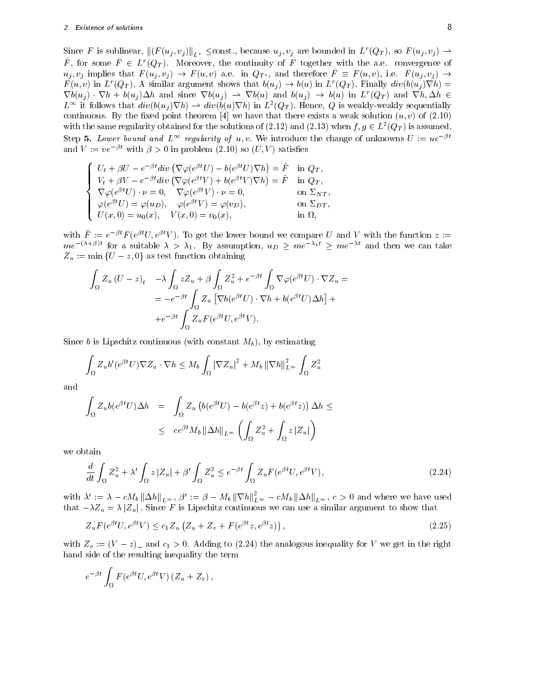Since F is sublinear,  $\|(F (u_j , v_j) \|_{L^r} \le \text{const.})$ , because  $u_j , v_j$  are bounded in  $L^r(Q_T)$ , so  $F (u_j , v_j) \to$ F, for some  $F~\in~L^r(Q_T)$ . Moreover, the continuity of F together with the a.e. convergence of  $u_i, v_j$  implies that  $F(u_i, v_j) \to F(u, v)$  a.e. in  $Q_{T^*}$ , and therefore  $\tilde{F} \equiv F(u, v)$ , i.e.  $F(u_i, v_j) \to$  $F(u, v)$  in  $L^r(Q_T)$ . A similar argument shows that  $b(u_i) \to b(u)$  in  $L^r(Q_T)$ . Finally  $div(b(u_i)\nabla h) =$  $\nabla b(u_i)$   $\nabla h + b(u_i) \Delta h$  and since  $\nabla b(u_j) \rightarrow \nabla b(u)$  and  $b(u_j) \rightarrow b(u)$  in  $L^r(Q_T)$  and  $\nabla h, \Delta h \in$  $L^{\infty}$  it follows that  $div(b(u_i)\nabla h) \rightharpoonup div(b(u)\nabla h)$  in  $L^2(Q_T)$ . Hence, Q is weakly-weakly sequentially continuous. By the fixed point theorem [4] we have that there exists a weak solution  $(u, v)$  of (2.10) with the same regularity obtained for the solutions of  $(2.12)$  and  $(2.13)$  when  $f, g \in L^2(Q_T)$  is assumed. Step 5. Lower bound and  $L^{\infty}$  regularity of u, v. We introduce the change of unknowns  $U := ue^{-\beta t}$ and  $V := ve^{-\beta t}$  with  $\beta > 0$  in problem (2.10) so  $(U, V)$  satisfies

$$
\begin{cases}\nU_t + \beta U - e^{-\beta t} \mathrm{div} \left( \nabla \varphi (e^{\beta t} U) - b(e^{\beta t} U) \nabla h \right) = \hat{F} & \text{in } Q_T, \\
V_t + \beta V - e^{-\beta t} \mathrm{div} \left( \nabla \varphi (e^{\beta t} V) + b(e^{\beta t} V) \nabla h \right) = \hat{F} & \text{in } Q_T, \\
\nabla \varphi (e^{\beta t} U) \cdot \nu = 0, \quad \nabla \varphi (e^{\beta t} V) \cdot \nu = 0, \quad \text{on } \Sigma_{NT}, \\
\varphi (e^{\beta t} U) = \varphi (u_D), \quad \varphi (e^{\beta t} V) = \varphi (v_D), \quad \text{on } \Sigma_{DT}, \\
U(x, 0) = u_0(x), \quad V(x, 0) = v_0(x), \quad \text{in } \Omega,\n\end{cases}
$$

with  $F^* := e^{\tau}F e^{\tau}V e^{\tau}V$  ). To get the lower bound we compare  $U$  and V with the function  $z :=$  $me^{-(\lambda+\beta)t}$  for a suitable  $\lambda > \lambda_1$ . By assumption,  $u_D \geq me^{-\lambda_1 t} \geq me^{-\lambda t}$  and then we can take  $Z_u := \min \{U - z, 0\}$  as test function obtaining

$$
\int_{\Omega} Z_u (U - z)_t \quad - \lambda \int_{\Omega} z Z_u + \beta \int_{\Omega} Z_u^2 + e^{-\beta t} \int_{\Omega} \nabla \varphi (e^{\beta t} U) \cdot \nabla Z_u =
$$
\n
$$
= -e^{-\beta t} \int_{\Omega} Z_u \left[ \nabla b (e^{\beta t} U) \cdot \nabla h + b (e^{\beta t} U) \Delta h \right] +
$$
\n
$$
+ e^{-\beta t} \int_{\Omega} Z_u F (e^{\beta t} U, e^{\beta t} V).
$$

Since b is Lipschitz continuous (with constant  $M_b$ ), by estimating

$$
\int_{\Omega} Z_u b'(e^{\beta t} U) \nabla Z_u \cdot \nabla h \le M_b \int_{\Omega} |\nabla Z_u|^2 + M_b \left\| \nabla h \right\|_{L^{\infty}}^2 \int_{\Omega} Z_u^2
$$

and

$$
\int_{\Omega} Z_u b(e^{\beta t} U) \Delta h = \int_{\Omega} Z_u \left( b(e^{\beta t} U) - b(e^{\beta t} z) + b(e^{\beta t} z) \right) \Delta h \le
$$
\n
$$
\leq c e^{\beta t} M_b \left\| \Delta h \right\|_{L^\infty} \left( \int_{\Omega} Z_u^2 + \int_{\Omega} z \left| Z_u \right| \right)
$$

we obtain

$$
\frac{d}{dt} \int_{\Omega} Z_u^2 + \lambda' \int_{\Omega} z |Z_u| + \beta' \int_{\Omega} Z_u^2 \le e^{-\beta t} \int_{\Omega} Z_u F(e^{\beta t} U, e^{\beta t} V), \tag{2.24}
$$

with  $\lambda' := \lambda - cM_b \|\Delta h\|_{L^\infty}$ ,  $\beta' := \beta - M_b \|\nabla h\|_{L^\infty}^2 - cM_b \|\Delta h\|_{L^\infty}$ ,  $c > 0$  and where we have used that  $-\lambda Z_u = \lambda |Z_u|$ . Since F is Lipschitz continuous we can use a similar argument to show that

$$
Z_u F(e^{\beta t} U, e^{\beta t} V) \le c_1 Z_u \left( Z_u + Z_v + F(e^{\beta t} z, e^{\beta t} z) \right), \tag{2.25}
$$

with  $Z_v := (V - z)$  and  $c_1 > 0$ . Adding to (2.24) the analogous inequality for V we get in the right hand side of the resulting inequality the term

$$
e^{-\beta t} \int_{\Omega} F(e^{\beta t} U, e^{\beta t} V) (Z_u + Z_v) ,
$$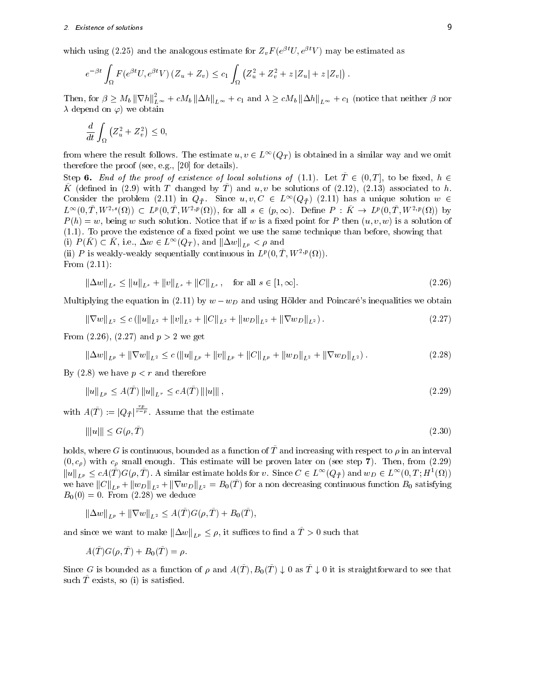which using (2.25) and the analogous estimate for  $Z_vF$  (erg  $U, e^v \mid V$  ) may be estimated as

$$
e^{-\beta t} \int_{\Omega} F(e^{\beta t} U, e^{\beta t} V) (Z_u + Z_v) \leq c_1 \int_{\Omega} (Z_u^2 + Z_v^2 + z |Z_u| + z |Z_v|).
$$

Then, for  $\beta \geq M_b \|\nabla h\|_{L^\infty}^2 + cM_b \|\Delta h\|_{L^\infty} + c_1$  and  $\lambda \geq cM_b \|\Delta h\|_{L^\infty} + c_1$  (notice that neither  $\beta$  nor  $\lambda$  depend on  $\varphi$  we obtain

$$
\frac{d}{dt} \int_{\Omega} \left( Z_u^2 + Z_v^2 \right) \le 0,
$$

from where the result follows. The estimate  $u, v \in L^{\infty}(Q_T)$  is obtained in a similar way and we omit therefore the proof (see, e.g., [20] for details).

Step 6. End of the proof of existence of local solutions of (1.1). Let  $\tilde{T} \in (0,T]$ , to be fixed,  $h \in$  $\tilde{K}$  (defined in (2.9) with T changed by  $\tilde{T}$ ) and u, v be solutions of (2.12), (2.13) associated to h. Consider the problem (2.11) in  $Q_T$ . Since  $u, v, C \in L^{\infty}(Q_T)$  (2.11) has a unique solution  $w \in$  $L^{\infty}(0,T,W^{2,s}(\Omega)) \subset L^p(0,T,W^{2,p}(\Omega))$ , for all  $s \in (p,\infty)$ . Define  $P: K \to L^p(0,T,W^{2,p}(\Omega))$  by  $P(h) = w$ , being w such solution. Notice that if w is a fixed point for P then  $(u, v, w)$  is a solution of  $(1.1)$ . To prove the existence of a fixed point we use the same technique than before, showing that (i)  $P(\tilde{K}) \subset \tilde{K}$ , i.e.,  $\Delta w \in L^{\infty}(Q_T)$ , and  $\|\Delta w\|_{L^p} < \rho$  and

(ii) P is weakly-weakly sequentially continuous in  $L^p(0,1;W^{-,p}(M))$ . From (2.11):

$$
\|\Delta w\|_{L^s} \le \|u\|_{L^s} + \|v\|_{L^s} + \|C\|_{L^s}, \quad \text{for all } s \in [1, \infty]. \tag{2.26}
$$

Multiplying the equation in (2.11) by  $w - w_D$  and using Hölder and Poincaré's inequalities we obtain

$$
\|\nabla w\|_{L^2} \le c \left( \|u\|_{L^2} + \|v\|_{L^2} + \|C\|_{L^2} + \|w_D\|_{L^2} + \|\nabla w_D\|_{L^2} \right). \tag{2.27}
$$

From  $(2.26)$ ,  $(2.27)$  and  $p > 2$  we get

$$
\left\|\Delta w\right\|_{L^p} + \left\|\nabla w\right\|_{L^2} \le c \left(\left\|u\right\|_{L^p} + \left\|v\right\|_{L^p} + \left\|C\right\|_{L^p} + \left\|w_D\right\|_{L^2} + \left\|\nabla w_D\right\|_{L^2}\right). \tag{2.28}
$$

By  $(2.8)$  we have  $p < r$  and therefore

$$
||u||_{L^{p}} \le A(\tilde{T}) ||u||_{L^{r}} \le cA(\tilde{T}) |||u|||,
$$
\n(2.29)

with  $A(\tilde{T}) := |Q_{\tilde{T}}|^{\frac{r}{r-p}}$ . Assume that the estimate

$$
\| |u| \| \le G(\rho, T) \tag{2.30}
$$

holds, where G is continuous, bounded as a function of  $\tilde{T}$  and increasing with respect to  $\rho$  in an interval  $(0, c_{\rho})$  with  $c_{\rho}$  small enough. This estimate will be proven later on (see step 7). Then, from (2.29)  $\|u\|_{L^p} \le cA(T)G(\rho, T).$  A similar estimate holds for v. Since  $C \in L^{\infty}(Q_{\tilde{T}})$  and  $w_D \in L^{\infty}(0,T; H^1(\Omega))$ we have  $||C||_{L^p} + ||w_D||_{L^2} + ||\nabla w_D||_{L^2} = B_0(\tilde{T})$  for a non decreasing continuous function  $B_0$  satisfying  $B_0(0) = 0$ . From (2.28) we deduce

$$
\|\Delta w\|_{L^p} + \|\nabla w\|_{L^2} \leq A(\tilde{T})G(\rho, \tilde{T}) + B_0(\tilde{T}),
$$

and since we want to make  $\|\Delta w\|_{L^p} \leq \rho$ , it suffices to find a  $\tilde{T} > 0$  such that

$$
A(T)G(\rho, T) + B_0(T) = \rho.
$$

Since G is bounded as a function of  $\rho$  and  $A(\tilde{T}), B_0(\tilde{T}) \downarrow 0$  as  $\tilde{T} \downarrow 0$  it is straightforward to see that such  $T~$  exists, so (i) is satisfied.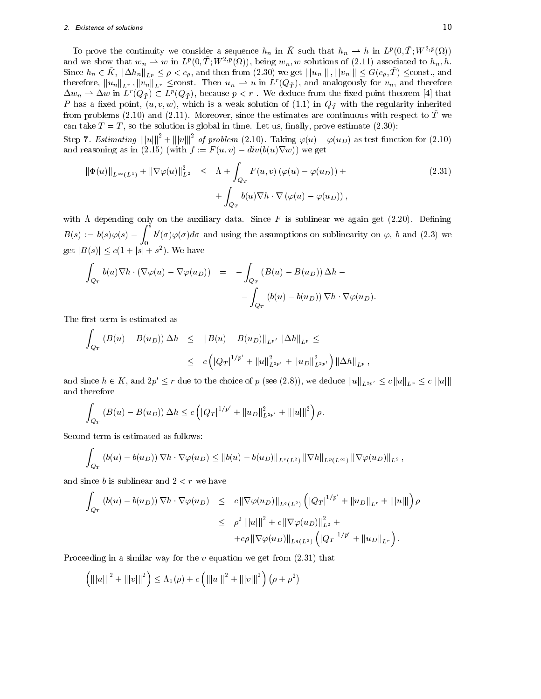# 2. Existence of solutions 10

To prove the continuity we consider a sequence  $n_n$  in K~such that  $n_n \to n$  in  $L^p(0,1;W^{-p}(\Omega))$ and we show that  $w_n \rightharpoonup w$  in  $L^p(0,1;W^{-p}(M)),$  being  $w_n,w$  solutions of (2.11) associated to  $h_n,h$ . Since  $h_n \in K$ ,  $\|\Delta h_n\|_{L^p} \leq \rho < c_\rho$ , and then from  $(2.30)$  we get  $\| |u_n| \|$  ,  $\| |v_n| \| \leq G(c_\rho, T)$   $\leq$ const., and therefore,  $\|u_n\|_{L^r}$ ,  $\|v_n\|_{L^r} \leq$ const. Then  $u_n \rightharpoonup u$  in  $L^r(Q_{\tilde{\mathcal{T}}})$ , and analogously for  $v_n$ , and therefore  $\Delta w_n \rightharpoonup \Delta w$  in  $L^r(Q_{\tilde{T}}) \subset L^p(Q_{\tilde{T}})$ , because  $p < r$ . We deduce from the fixed point theorem [4] that P has a fixed point,  $(u, v, w)$ , which is a weak solution of (1.1) in  $Q_{\bar{T}}$  with the regularity inherited from problems (2.10) and (2.11). Moreover, since the estimates are continuous with respect to  $\tilde{T}$  we can take  $\tilde{T} = T$ , so the solution is global in time. Let us, finally, prove estimate (2.30):

Step 7. Estimating  $|||u|||^2 + |||v|||^2$  of problem (2.10). Taking  $\varphi(u) - \varphi(u_D)$  as test function for (2.10) and reasoning as in (2.15) (with  $f := F(u, v) - div(b(u)\nabla w)$ ) we get

$$
\|\Phi(u)\|_{L^{\infty}(L^{1})} + \|\nabla\varphi(u)\|_{L^{2}}^{2} \leq \Lambda + \int_{Q_{T}} F(u,v) \left(\varphi(u) - \varphi(u_{D})\right) + \int_{Q_{T}} b(u)\nabla h \cdot \nabla \left(\varphi(u) - \varphi(u_{D})\right),
$$
\n(2.31)

with  $\Lambda$  depending only on the auxiliary data. Since F is sublinear we again get (2.20). Defining  $B(s) := 0(s)\varphi(s) - 1$   $0 \left(\sigma\right)\varphi(\sigma)$  $\mathcal{L}^{\mathcal{S}}$  such that  $\mathcal{L}^{\mathcal{S}}$  $\sigma$  ( $\sigma$ ) $\varphi$ ( $\sigma$ ) $a\sigma$  and using the assumptions on sublinearity on  $\varphi$ ,  $\sigma$  and (2.3) we get  $|B(s)| \le c(1 + |s| + s^2)$ . We have

$$
\int_{Q_T} b(u)\nabla h \cdot (\nabla \varphi(u) - \nabla \varphi(u_D)) = -\int_{Q_T} (B(u) - B(u_D)) \Delta h - -\int_{Q_T} (b(u) - b(u_D)) \nabla h \cdot \nabla \varphi(u_D).
$$

The first term is estimated as

$$
\int_{Q_T} (B(u) - B(u_D)) \Delta h \leq \|B(u) - B(u_D)\|_{L^{p'}} \|\Delta h\|_{L^p} \leq
$$
  

$$
\leq c \left( |Q_T|^{1/p'} + \|u\|_{L^{2p'}}^2 + \|u_D\|_{L^{2p'}}^2 \right) \|\Delta h\|_{L^p},
$$

and since  $h \in K$ , and  $2p' \leq r$  due to the choice of p (see (2.8)), we deduce  $||u||_{L^{2p'}} \leq c ||u||_{L^r} \leq c |||u||$ and therefore

$$
\int_{Q_T} (B(u) - B(u_D)) \Delta h \le c \left( |Q_T|^{1/p'} + ||u_D||^2_{L^{2p'}} + |||u|||^2 \right) \rho.
$$

Second term is estimated as follows:

$$
\int_{Q_T} \left( b(u) - b(u_D) \right) \nabla h \cdot \nabla \varphi(u_D) \leq ||b(u) - b(u_D)||_{L^r(L^2)} ||\nabla h||_{L^p(L^\infty)} ||\nabla \varphi(u_D)||_{L^2},
$$

and since  $b$  is sublinear and  $2 < r$  we have

$$
\int_{Q_T} (b(u) - b(u_D)) \nabla h \cdot \nabla \varphi(u_D) \leq c \|\nabla \varphi(u_D)\|_{L^q(L^2)} \left( |Q_T|^{1/p'} + \|u_D\|_{L^r} + \|u\| \right) \rho
$$
  
\n
$$
\leq \rho^2 \| |u|||^2 + c \|\nabla \varphi(u_D)\|_{L^2}^2 +
$$
  
\n
$$
+ c\rho \|\nabla \varphi(u_D)\|_{L^q(L^2)} \left( |Q_T|^{1/p'} + \|u_D\|_{L^r} \right).
$$

Proceeding in a similar way for the  $v$  equation we get from  $(2.31)$  that

$$
\left(|||u|||^2 + |||v|||^2\right) \le \Lambda_1(\rho) + c\left(|||u|||^2 + |||v|||^2\right) (\rho + \rho^2)
$$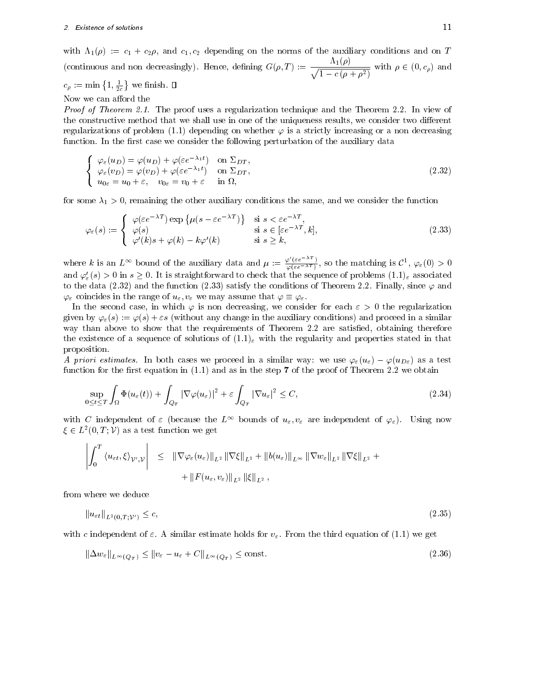with  $\Lambda_1(\rho) := c_1 + c_2 \rho$ , and  $c_1, c_2$  depending on the norms of the auxiliary conditions and on T (continuous and non decreasingly). Hence, defining  $G(\rho, T) := \frac{T(\rho)}{\sqrt{1 - c(\rho + \rho^2)}}$  with  $\rho \in (0, c_\rho)$  and

# $c_{\rho} := \min\left\{1, \frac{1}{2c}\right\}$  we finish.  $\square$

Now we can afford the

Proof of Theorem 2.1. The proof uses a regularization technique and the Theorem 2.2. In view of the constructive method that we shall use in one of the uniqueness results, we consider two different regularizations of problem (1.1) depending on whether  $\varphi$  is a strictly increasing or a non decreasing function. In the first case we consider the following perturbation of the auxiliary data

$$
\begin{cases}\n\varphi_{\varepsilon}(u_D) = \varphi(u_D) + \varphi(\varepsilon e^{-\lambda_1 t}) & \text{on } \Sigma_{DT}, \\
\varphi_{\varepsilon}(v_D) = \varphi(v_D) + \varphi(\varepsilon e^{-\lambda_1 t}) & \text{on } \Sigma_{DT}, \\
u_{0\varepsilon} = u_0 + \varepsilon, & v_{0\varepsilon} = v_0 + \varepsilon & \text{in } \Omega,\n\end{cases}
$$
\n(2.32)

for some  $\lambda_1 > 0$ , remaining the other auxiliary conditions the same, and we consider the function

$$
\varphi_{\varepsilon}(s) := \begin{cases}\n\varphi(\varepsilon e^{-\lambda T}) \exp \{ \mu(s - \varepsilon e^{-\lambda T}) \} & \text{si } s < \varepsilon e^{-\lambda T}, \\
\varphi(s) & \text{si } s \in [\varepsilon e^{-\lambda T}, k], \\
\varphi'(k)s + \varphi(k) - k\varphi'(k) & \text{si } s \ge k,\n\end{cases}
$$
\n(2.33)

where k is an  $L^{\infty}$  bound of the auxiliary data and  $\mu := \frac{\varphi(\varepsilon e^{-\lambda T})}{\varphi(\varepsilon e^{-\lambda T})}$ , so the matching is  $\mathcal{C}^1$ ,  $\varphi_{\varepsilon}(0) > 0$ and  $\varphi'_{\varepsilon}(s) > 0$  in  $s \geq 0$ . It is straightforward to check that the sequence of problems  $(1.1)_{\varepsilon}$  associated to the data (2.32) and the function (2.33) satisfy the conditions of Theorem 2.2. Finally, since  $\varphi$  and  $\varphi_{\varepsilon}$  coincides in the range of  $u_{\varepsilon}, v_{\varepsilon}$  we may assume that  $\varphi \equiv \varphi_{\varepsilon}$ .

In the second case, in which  $\varphi$  is non decreasing, we consider for each  $\varepsilon > 0$  the regularization given by  $\varphi_{\varepsilon}(s) := \varphi(s) + \varepsilon s$  (without any change in the auxiliary conditions) and proceed in a similar way than above to show that the requirements of Theorem 2.2 are satisfied, obtaining therefore the existence of a sequence of solutions of  $(1.1)_{\varepsilon}$  with the regularity and properties stated in that proposition.

A priori estimates. In both cases we proceed in a similar way: we use  $\varphi_{\varepsilon}(u_{\varepsilon}) - \varphi(u_{D_{\varepsilon}})$  as a test function for the first equation in  $(1.1)$  and as in the step 7 of the proof of Theorem 2.2 we obtain

$$
\sup_{0 \le t \le T} \int_{\Omega} \Phi(u_{\varepsilon}(t)) + \int_{Q_T} |\nabla \varphi(u_{\varepsilon})|^2 + \varepsilon \int_{Q_T} |\nabla u_{\varepsilon}|^2 \le C,
$$
\n(2.34)

with C independent of  $\varepsilon$  (because the  $L^{\infty}$  bounds of  $u_{\varepsilon}, v_{\varepsilon}$  are independent of  $\varphi_{\varepsilon}$ ). Using now  $\xi \in L^2(0,T; \mathcal{V})$  as a test function we get

$$
\left| \int_0^T \left\langle u_{\varepsilon t}, \xi \right\rangle_{\mathcal{V}', \mathcal{V}} \right| \leq \|\nabla \varphi_{\varepsilon}(u_{\varepsilon})\|_{L^2} \|\nabla \xi\|_{L^2} + \|b(u_{\varepsilon})\|_{L^{\infty}} \|\nabla w_{\varepsilon}\|_{L^2} \|\nabla \xi\|_{L^2} + \|\nabla (u_{\varepsilon}, v_{\varepsilon})\|_{L^2} \|\xi\|_{L^2},
$$

from where we deduce

$$
\left\|u_{\varepsilon t}\right\|_{L^2(0,T;\mathcal{V}')} \le c,\tag{2.35}
$$

with c independent of  $\varepsilon$ . A similar estimate holds for  $v_{\varepsilon}$ . From the third equation of (1.1) we get

$$
\|\Delta w_{\varepsilon}\|_{L^{\infty}(Q_T)} \le \|v_{\varepsilon} - u_{\varepsilon} + C\|_{L^{\infty}(Q_T)} \le \text{const.}
$$
\n(2.36)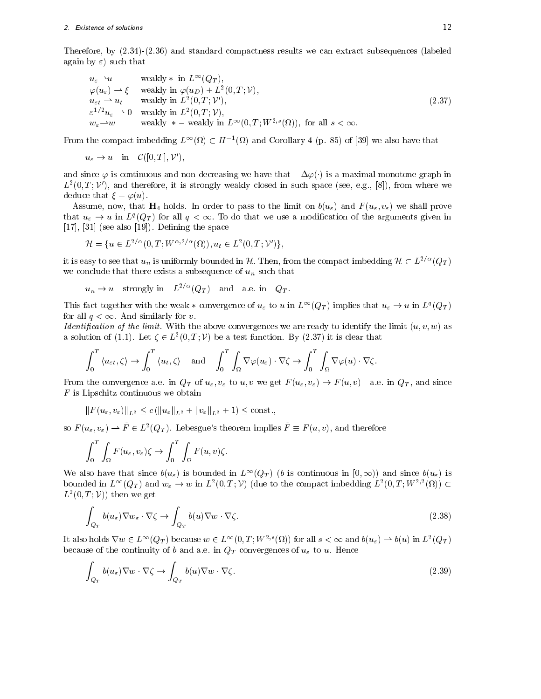Therefore, by (2.34)-(2.36) and standard compactness results we can extract subsequences (labeled again by  $\varepsilon$ ) such that

$$
u_{\varepsilon} \to u \quad \text{weakly } * \text{ in } L^{\infty}(Q_T),
$$
  
\n
$$
\varphi(u_{\varepsilon}) \to \xi \quad \text{weakly in } \varphi(u_D) + L^2(0, T; \mathcal{V}),
$$
  
\n
$$
u_{\varepsilon t} \to u_t \quad \text{weakly in } L^2(0, T; \mathcal{V}'),
$$
  
\n
$$
\varepsilon^{1/2} u_{\varepsilon} \to 0 \quad \text{weakly in } L^2(0, T; \mathcal{V}),
$$
  
\n
$$
w_{\varepsilon} \to w \quad \text{weakly } * - \text{ weakly in } L^{\infty}(0, T; W^{2,s}(\Omega)), \text{ for all } s < \infty.
$$
  
\n(2.37)

From the compact imbedding  $L^{\infty}(\Omega) \subset H^{-1}(\Omega)$  and Corollary 4 (p. 85) of [39] we also have that

$$
u_{\varepsilon} \to u
$$
 in  $\mathcal{C}([0,T], \mathcal{V}')$ ,

and since  $\varphi$  is continuous and non decreasing we have that  $-\Delta\varphi(\cdot)$  is a maximal monotone graph in  $L^2(0,T;V')$ , and therefore, it is strongly weakly closed in such space (see, e.g., [8]), from where we deduce that  $\xi = \varphi(u)$ .

Assume, now, that  $\mathbf{H}_4$  holds. In order to pass to the limit on  $b(u_\varepsilon)$  and  $F(u_\varepsilon, v_\varepsilon)$  we shall prove that  $u_{\varepsilon} \to u$  in  $L^q(Q_T)$  for all  $q < \infty$ . To do that we use a modification of the arguments given in  $[17]$ ,  $[31]$  (see also  $[19]$ ). Defining the space

$$
\mathcal{H} = \{ u \in L^{2/\alpha}(0, T; W^{\alpha, 2/\alpha}(\Omega)), u_t \in L^2(0, T; \mathcal{V}') \},
$$

it is easy to see that  $u_n$  is uniformly bounded in H. Then, from the compact imbedding  $\mathcal{H} \subset L^{2/\alpha}(Q_T)$ we conclude that there exists a subsequence of  $u_n$  such that

 $u_n \to u$  strongly in  $L^{2/\alpha}(Q_T)$  and a.e. in  $Q_T$ .

This fact together with the weak  $*$  convergence of  $u_{\varepsilon}$  to u in  $L^{\infty}(Q_T)$  implies that  $u_{\varepsilon} \to u$  in  $L^q(Q_T)$ for all  $q < \infty$ . And similarly for v.

*Identification of the limit.* With the above convergences we are ready to identify the limit  $(u, v, w)$  as a solution of (1.1). Let  $\zeta \in L^2(0,T; \mathcal{V})$  be a test function. By (2.37) it is clear that

$$
\int_0^T \langle u_{\varepsilon t}, \zeta \rangle \to \int_0^T \langle u_t, \zeta \rangle \quad \text{and} \quad \int_0^T \int_\Omega \nabla \varphi(u_\varepsilon) \cdot \nabla \zeta \to \int_0^T \int_\Omega \nabla \varphi(u) \cdot \nabla \zeta.
$$

From the convergence a.e. in  $Q_T$  of  $u_\varepsilon, v_\varepsilon$  to  $u, v$  we get  $F(u_\varepsilon, v_\varepsilon) \to F(u, v)$  a.e. in  $Q_T$ , and since  $F$  is Lipschitz continuous we obtain

$$
||F(u_{\varepsilon}, v_{\varepsilon})||_{L^{2}} \leq c(||u_{\varepsilon}||_{L^{2}} + ||v_{\varepsilon}||_{L^{2}} + 1) \leq \text{const.},
$$

so  $F(u_{\varepsilon}, v_{\varepsilon}) \to F \in L^2(Q_T)$ . Lebesgue's theorem implies  $F \equiv F(u, v)$ , and therefore

$$
\int_0^T \int_{\Omega} F(u_{\varepsilon}, v_{\varepsilon}) \zeta \to \int_0^T \int_{\Omega} F(u, v) \zeta.
$$

We also have that since  $b(u_{\varepsilon})$  is bounded in  $L^{\infty}(Q_T)$  (b is continuous in  $[0,\infty)$ ) and since  $b(u_{\varepsilon})$  is bounded in  $L^{\infty}(Q_T)$  and  $w_{\varepsilon} \to w$  in  $L^2(0,T; \mathcal{V})$  (due to the compact imbedding  $L^2(0,T; W^{2,2}(\Omega)) \subset$  $L^2(0,T;\mathcal{V})$  then we get

$$
\int_{Q_T} b(u_\varepsilon) \nabla w_\varepsilon \cdot \nabla \zeta \to \int_{Q_T} b(u) \nabla w \cdot \nabla \zeta.
$$
\n(2.38)

It also holds  $\nabla w \in L^{\infty}(Q_T)$  because  $w \in L^{\infty}(0,T;W^{2,s}(\Omega))$  for all  $s < \infty$  and  $b(u_{\varepsilon}) \to b(u)$  in  $L^2(Q_T)$ because of the continuity of b and a.e. in  $Q_T$  convergences of  $u_\varepsilon$  to u. Hence

$$
\int_{Q_T} b(u_\varepsilon) \nabla w \cdot \nabla \zeta \to \int_{Q_T} b(u) \nabla w \cdot \nabla \zeta.
$$
\n(2.39)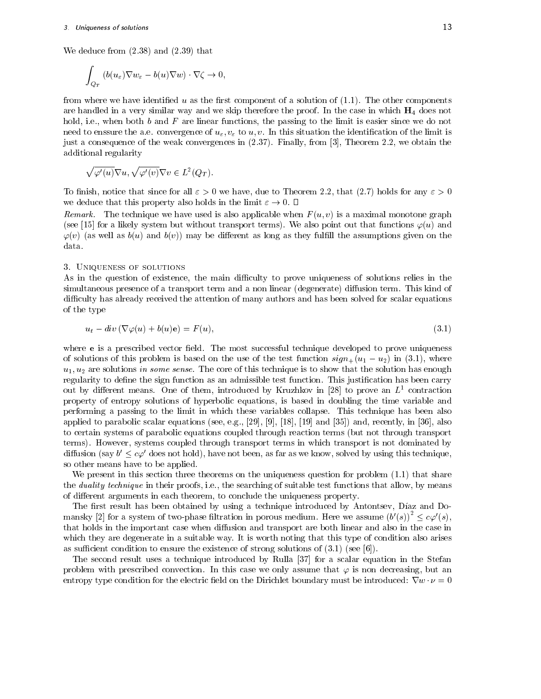We deduce from (2.38) and (2.39) that

$$
\int_{Q_T} (b(u_\varepsilon)\nabla w_\varepsilon - b(u)\nabla w) \cdot \nabla \zeta \to 0,
$$

from where we have identified u as the first component of a solution of  $(1.1)$ . The other components are handled in a very similar way and we skip therefore the proof. In the case in which  $H_4$  does not hold, i.e., when both  $b$  and  $F$  are linear functions, the passing to the limit is easier since we do not need to enssure the a.e. convergence of  $u_{\varepsilon}, v_{\varepsilon}$  to u, v. In this situation the identification of the limit is just a consequence of the weak convergences in (2.37). Finally, from [3], Theorem 2.2, we obtain the additional regularity

$$
\sqrt{\varphi'(u)}\nabla u,\sqrt{\varphi'(v)}\nabla v\in L^2(Q_T).
$$

To finish, notice that since for all  $\varepsilon > 0$  we have, due to Theorem 2.2, that (2.7) holds for any  $\varepsilon > 0$ we deduce that this property also holds in the limit  $\varepsilon \to 0$ .  $\Box$ 

Remark. The technique we have used is also applicable when  $F(u, v)$  is a maximal monotone graph (see [15] for a likely system but without transport terms). We also point out that functions  $\varphi(u)$  and  $\varphi(v)$  (as well as  $b(u)$  and  $b(v)$ ) may be different as long as they fulfill the assumptions given on the data.

# 3. Uniqueness of solutions

As in the question of existence, the main difficulty to prove uniqueness of solutions relies in the simultaneous presence of a transport term and a non linear (degenerate) diffusion term. This kind of difficulty has already received the attention of many authors and has been solved for scalar equations of the type

$$
u_t - \operatorname{div}(\nabla \varphi(u) + b(u)\mathbf{e}) = F(u),\tag{3.1}
$$

where **e** is a prescribed vector field. The most successful technique developed to prove uniqueness of solutions of this problem is based on the use of the test function  $sign_+(u_1 - u_2)$  in (3.1), where  $u_1, u_2$  are solutions in some sense. The core of this technique is to show that the solution has enough regularity to define the sign function as an admissible test function. This justification has been carry out by different means. One of them, introduced by Kruzhkov in [28] to prove an  $L<sup>1</sup>$  contraction property of entropy solutions of hyperbolic equations, is based in doubling the time variable and performing a passing to the limit in which these variables collapse. This technique has been also applied to parabolic scalar equations (see, e.g., [29], [9], [18], [19] and [35]) and, recently, in [36], also to certain systems of parabolic equations coupled through reaction terms (but not through transport terms). However, systems coupled through transport terms in which transport is not dominated by diffusion (say  $b' \leq c\varphi'$  does not hold), have not been, as far as we know, solved by using this technique, so other means have to be applied.

We present in this section three theorems on the uniqueness question for problem  $(1.1)$  that share the *duality technique* in their proofs, i.e., the searching of suitable test functions that allow, by means of different arguments in each theorem, to conclude the uniqueness property.

The first result has been obtained by using a technique introduced by Antontsev, Díaz and Domansky [2] for a system of two-phase filtration in porous medium. Here we assume  $(b'(s))^2 \leq c\varphi'(s)$ , that holds in the important case when diffusion and transport are both linear and also in the case in which they are degenerate in a suitable way. It is worth noting that this type of condition also arises as sufficient condition to ensure the existence of strong solutions of  $(3.1)$  (see [6]).

The second result uses a technique introduced by Rulla [37] for a scalar equation in the Stefan problem with prescribed convection. In this case we only assume that  $\varphi$  is non decreasing, but an entropy type condition for the electric field on the Dirichlet boundary must be introduced:  $\nabla w \cdot \nu = 0$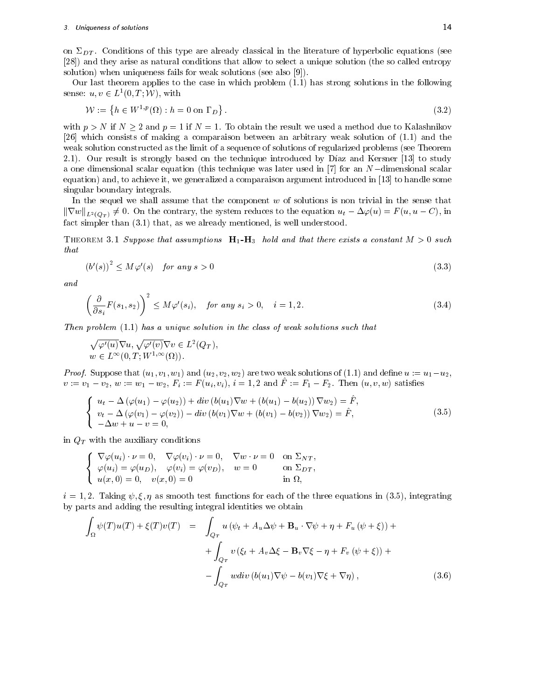on  $\Sigma_{DT}$ . Conditions of this type are already classical in the literature of hyperbolic equations (see [28]) and they arise as natural conditions that allow to select a unique solution (the so called entropy solution) when uniqueness fails for weak solutions (see also [9]).

Our last theorem applies to the case in which problem  $(1.1)$  has strong solutions in the following sense:  $u, v \in L^1(0, T; \mathcal{W})$ , with

$$
\mathcal{W} := \left\{ h \in W^{1,p}(\Omega) : h = 0 \text{ on } \Gamma_D \right\}.
$$
\n
$$
(3.2)
$$

with  $p>N$  if  $N\geq 2$  and  $p=1$  if  $N=1$ . To obtain the result we used a method due to Kalashnikov [26] which consists of making a comparaison between an arbitrary weak solution of (1.1) and the weak solution constructed as the limit of a sequence of solutions of regularized problems (see Theorem 2.1). Our result is strongly based on the technique introduced by Díaz and Kersner [13] to study a one dimensional scalar equation (this technique was later used in  $[7]$  for an N-dimensional scalar equation) and, to achieve it, we generalized a comparaison argument introduced in [13] to handle some singular boundary integrals.

In the sequel we shall assume that the component  $w$  of solutions is non trivial in the sense that  $\|\nabla w\|_{L^2(Q_T)} \neq 0$ . On the contrary, the system reduces to the equation  $u_t - \Delta \varphi(u) = F(u, u - C)$ , in fact simpler than (3.1) that, as we already mentioned, is well understood.

THEOREM 3.1 Suppose that assumptions  $H_1-H_3$  hold and that there exists a constant  $M > 0$  such that

$$
(b'(s))^2 \le M\varphi'(s) \quad \text{for any } s > 0 \tag{3.3}
$$

and

$$
\left(\frac{\partial}{\partial s_i}F(s_1, s_2)\right)^2 \le M\varphi'(s_i), \quad \text{for any } s_i > 0, \quad i = 1, 2. \tag{3.4}
$$

Then problem (1.1) has a unique solution in the class of weak solutions such that

$$
\sqrt{\varphi'(u)}\nabla u, \sqrt{\varphi'(v)}\nabla v \in L^2(Q_T),
$$
  

$$
w \in L^{\infty}(0, T; W^{1,\infty}(\Omega)).
$$

*Proof.* Suppose that  $(u_1, v_1, w_1)$  and  $(u_2, v_2, w_2)$  are two weak solutions of (1.1) and define  $u := u_1 - u_2$ ,  $v_{\ell} = v_1 - v_2, w_{\ell} = w_1 - w_2, r_i' = r(u_i, v_i), i = 1, 2$  and  $r_{\ell} = r_1 - r_2$ . Then  $(u, v, w)$  satisfies

$$
\begin{cases}\n u_t - \Delta (\varphi(u_1) - \varphi(u_2)) + div (b(u_1) \nabla w + (b(u_1) - b(u_2)) \nabla w_2) = \hat{F}, \\
 v_t - \Delta (\varphi(v_1) - \varphi(v_2)) - div (b(v_1) \nabla w + (b(v_1) - b(v_2)) \nabla w_2) = \hat{F}, \\
 -\Delta w + u - v = 0,\n\end{cases}
$$
\n(3.5)

in  $Q_T$  with the auxiliary conditions

$$
\begin{cases}\n\nabla \varphi(u_i) \cdot \nu = 0, & \nabla \varphi(v_i) \cdot \nu = 0, \quad \nabla w \cdot \nu = 0 \quad \text{on } \Sigma_{NT}, \\
\varphi(u_i) = \varphi(u_D), & \varphi(v_i) = \varphi(v_D), \quad w = 0 \quad \text{on } \Sigma_{DT}, \\
u(x, 0) = 0, & v(x, 0) = 0 \quad \text{in } \Omega,\n\end{cases}
$$

 $i = 1, 2$ . Taking  $\psi, \xi, \eta$  as smooth test functions for each of the three equations in (3.5), integrating by parts and adding the resulting integral identities we obtain

$$
\int_{\Omega} \psi(T)u(T) + \xi(T)v(T) = \int_{Q_T} u(\psi_t + A_u \Delta \psi + \mathbf{B}_u \cdot \nabla \psi + \eta + F_u(\psi + \xi)) +
$$

$$
+ \int_{Q_T} v(\xi_t + A_v \Delta \xi - \mathbf{B}_v \nabla \xi - \eta + F_v(\psi + \xi)) +
$$

$$
- \int_{Q_T} wdiv (b(u_1) \nabla \psi - b(v_1) \nabla \xi + \nabla \eta), \tag{3.6}
$$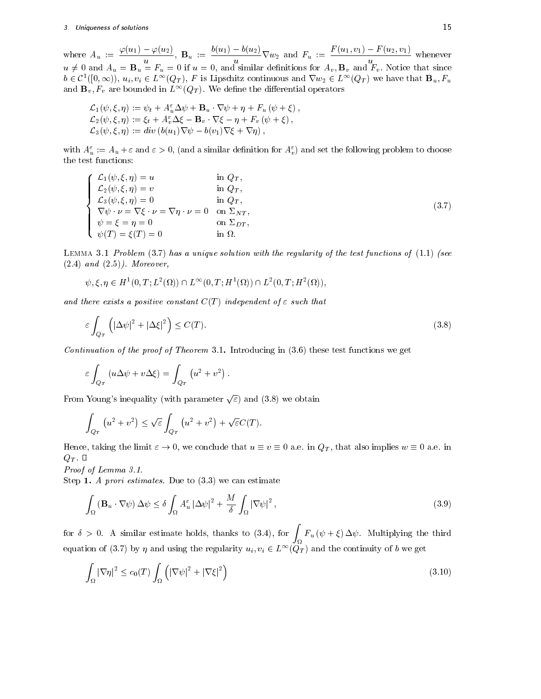where  $A_u := \frac{\varphi(u_1) - \varphi(u_2)}{\varphi(u_1)}$ ,  $B_u$  $\frac{u-\varphi(u_2)}{u}, \ \mathbf{B}_u := \frac{\partial(u_1)-\partial(u_2)}{u}\nabla w_2$  and  $\frac{u}{u} = \frac{v(u_1, v_1) - v(u_2, v_1)}{u}$  when  $u \neq 0$  and  $A_u = \mathbf{B}_u = F_u = 0$  if  $u = 0$ , and similar definitions for  $A_v, \mathbf{B}_v$  and  $F_v$ . Notice that since  $b \in C^1([0,\infty))$ ,  $u_i, v_i \in L^\infty(Q_T)$ , F is Lipschitz continuous and  $\nabla w_2 \in L^\infty(Q_T)$  we have that  $\mathbf{B}_u, F_u$ and  $\mathbf{B}_v, F_v$  are bounded in  $L^{\infty}(Q_T)$ . We define the differential operators

$$
\mathcal{L}_1(\psi, \xi, \eta) := \psi_t + A_u^{\varepsilon} \Delta \psi + \mathbf{B}_u \cdot \nabla \psi + \eta + F_u (\psi + \xi),
$$
  
\n
$$
\mathcal{L}_2(\psi, \xi, \eta) := \xi_t + A_u^{\varepsilon} \Delta \xi - \mathbf{B}_v \cdot \nabla \xi - \eta + F_v (\psi + \xi),
$$
  
\n
$$
\mathcal{L}_3(\psi, \xi, \eta) := div (b(u_1) \nabla \psi - b(v_1) \nabla \xi + \nabla \eta),
$$

with  $A_u^{\varepsilon} := A_u + \varepsilon$  and  $\varepsilon > 0$ , (and a similar definition for  $A_v^{\varepsilon}$ ) and set the following problem to choose the test functions:

$$
\begin{cases}\n\mathcal{L}_1(\psi,\xi,\eta) = u & \text{in } Q_T, \\
\mathcal{L}_2(\psi,\xi,\eta) = v & \text{in } Q_T, \\
\mathcal{L}_3(\psi,\xi,\eta) = 0 & \text{in } Q_T, \\
\nabla\psi \cdot \nu = \nabla\xi \cdot \nu = \nabla\eta \cdot \nu = 0 & \text{on } \Sigma_{NT}, \\
\psi = \xi = \eta = 0 & \text{on } \Sigma_{DT}, \\
\psi(T) = \xi(T) = 0 & \text{in } \Omega.\n\end{cases}
$$
\n(3.7)

LEMMA 3.1 Problem  $(3.7)$  has a unique solution with the regularity of the test functions of  $(1.1)$  (see  $(2.4)$  and  $(2.5)$ . Moreover,

$$
\psi, \xi, \eta \in H^1(0, T; L^2(\Omega)) \cap L^{\infty}(0, T; H^1(\Omega)) \cap L^2(0, T; H^2(\Omega)),
$$

and there exists a positive constant  $C(T)$  independent of  $\varepsilon$  such that

$$
\varepsilon \int_{Q_T} \left( \left| \Delta \psi \right|^2 + \left| \Delta \xi \right|^2 \right) \le C(T). \tag{3.8}
$$

Continuation of the proof of Theorem 3.1. Introducing in  $(3.6)$  these test functions we get

$$
\varepsilon \int_{Q_T} (u \Delta \psi + v \Delta \xi) = \int_{Q_T} (u^2 + v^2).
$$

From Young's inequality (with parameter  $\sqrt{\varepsilon}$ ) and (3.8) we obtain

$$
\int_{Q_T} \left( u^2 + v^2 \right) \le \sqrt{\varepsilon} \int_{Q_T} \left( u^2 + v^2 \right) + \sqrt{\varepsilon} C(T).
$$

Hence, taking the limit  $\varepsilon \to 0$ , we conclude that  $u \equiv v \equiv 0$  a.e. in  $Q_T$ , that also implies  $w \equiv 0$  a.e. in  $Q_T$  .  $\Box$ 

Proof of Lemma 3.1.

Step 1. A prori estimates. Due to  $(3.3)$  we can estimate

$$
\int_{\Omega} \left( \mathbf{B}_{u} \cdot \nabla \psi \right) \Delta \psi \le \delta \int_{\Omega} A_{u}^{\varepsilon} \left| \Delta \psi \right|^{2} + \frac{M}{\delta} \int_{\Omega} \left| \nabla \psi \right|^{2},\tag{3.9}
$$

for  $\delta > 0$ . A similar estimate holds, thanks to (3.4), for  $\int_{\Omega} F_u \left( \psi + \xi \right)$  $F_{\alpha}$  (  $F_{\alpha}$  )  $F_{\alpha}$  , and the third the third theoretical theoretical theoretical theoretical theoretical theoretical theoretical theoretical theoretical theoretical theoretical theoretical theoretical theoretical equation of (3.7) by  $\eta$  and using the regularity  $u_i, v_i \in L^{\infty}(Q_T)$  and the continuity of b we get

$$
\int_{\Omega} |\nabla \eta|^2 \le c_0(T) \int_{\Omega} \left( |\nabla \psi|^2 + |\nabla \xi|^2 \right) \tag{3.10}
$$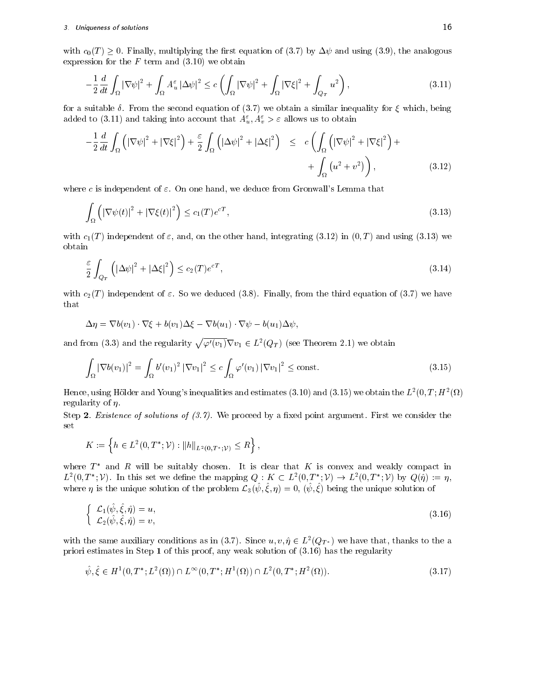with  $c_0(T) \geq 0$ . Finally, multiplying the first equation of (3.7) by  $\Delta \psi$  and using (3.9), the analogous expression for the  $F$  term and  $(3.10)$  we obtain

$$
-\frac{1}{2}\frac{d}{dt}\int_{\Omega}|\nabla\psi|^2 + \int_{\Omega}A_u^{\varepsilon}|\Delta\psi|^2 \leq c\left(\int_{\Omega}|\nabla\psi|^2 + \int_{\Omega}|\nabla\xi|^2 + \int_{Q_T}u^2\right),\tag{3.11}
$$

for a suitable  $\delta$ . From the second equation of (3.7) we obtain a similar inequality for  $\xi$  which, being added to (3.11) and taking into account that  $A_u^{\varepsilon}, A_v^{\varepsilon} > \varepsilon$  allows us to obtain

$$
-\frac{1}{2}\frac{d}{dt}\int_{\Omega} \left( \left|\nabla\psi\right|^{2} + \left|\nabla\xi\right|^{2} \right) + \frac{\varepsilon}{2}\int_{\Omega} \left( \left|\Delta\psi\right|^{2} + \left|\Delta\xi\right|^{2} \right) \leq c\left(\int_{\Omega} \left( \left|\nabla\psi\right|^{2} + \left|\nabla\xi\right|^{2} \right) + \int_{\Omega} \left(u^{2} + v^{2}\right) \right),
$$
\n(3.12)

where c is independent of  $\varepsilon$ . On one hand, we deduce from Gronwall's Lemma that

$$
\int_{\Omega} \left( |\nabla \psi(t)|^2 + |\nabla \xi(t)|^2 \right) \le c_1(T) e^{cT},\tag{3.13}
$$

with  $c_1(T)$  independent of  $\varepsilon$ , and, on the other hand, integrating (3.12) in  $(0,T)$  and using (3.13) we obtain

$$
\frac{\varepsilon}{2} \int_{Q_T} \left( |\Delta \psi|^2 + |\Delta \xi|^2 \right) \le c_2(T) e^{cT},\tag{3.14}
$$

with  $c_2(T)$  independent of  $\varepsilon$ . So we deduced (3.8). Finally, from the third equation of (3.7) we have that

$$
\Delta \eta = \nabla b(v_1) \cdot \nabla \xi + b(v_1) \Delta \xi - \nabla b(u_1) \cdot \nabla \psi - b(u_1) \Delta \psi,
$$

and from (3.3) and the regularity  $\sqrt{\varphi'(v_1)}\nabla v_1 \in L^2(Q_T)$  (see Theorem 2.1) we obtain

$$
\int_{\Omega} |\nabla b(v_1)|^2 = \int_{\Omega} b'(v_1)^2 |\nabla v_1|^2 \leq c \int_{\Omega} \varphi'(v_1) |\nabla v_1|^2 \leq \text{const.}
$$
\n(3.15)

Hence, using Hölder and Young's inequalities and estimates (3.10) and (3.15) we obtain the  $L^2(0,T;H^2(\Omega)$ regularity of  $\eta$ .

Step 2. *Existence of solutions of*  $(3.7)$ *.* We proceed by a fixed point argument. First we consider the set

$$
K := \left\{ h \in L^2(0, T^*; \mathcal{V}) : ||h||_{L^2(0, T^*; \mathcal{V})} \le R \right\},\
$$

where  $T^*$  and R will be suitably chosen. It is clear that K is convex and weakly compact in  $L^2(0,T^*; \mathcal{V})$ . In this set we define the mapping  $Q: K \subset L^2(0,T^*; \mathcal{V}) \to L^2(0,T^*; \mathcal{V})$  by  $Q(\hat{\eta}) := \eta$ , where  $\eta$  is the unique solution of the problem  $\mathcal{L}_3(\psi, \xi, \eta) = 0$ ,  $(\psi, \xi)$  being the unique solution of

$$
\begin{cases}\n\mathcal{L}_1(\hat{\psi}, \hat{\xi}, \hat{\eta}) = u, \\
\mathcal{L}_2(\hat{\psi}, \hat{\xi}, \hat{\eta}) = v,\n\end{cases}
$$
\n(3.16)

with the same auxiliary conditions as in (3.7). Since  $u, v, \eta \in L^2(Q_{T^*})$  we have that, thanks to the a priori estimates in Step <sup>1</sup> of this proof, any weak solution of (3.16) has the regularity

$$
\hat{\psi}, \hat{\xi} \in H^1(0, T^*; L^2(\Omega)) \cap L^\infty(0, T^*; H^1(\Omega)) \cap L^2(0, T^*; H^2(\Omega)).
$$
\n(3.17)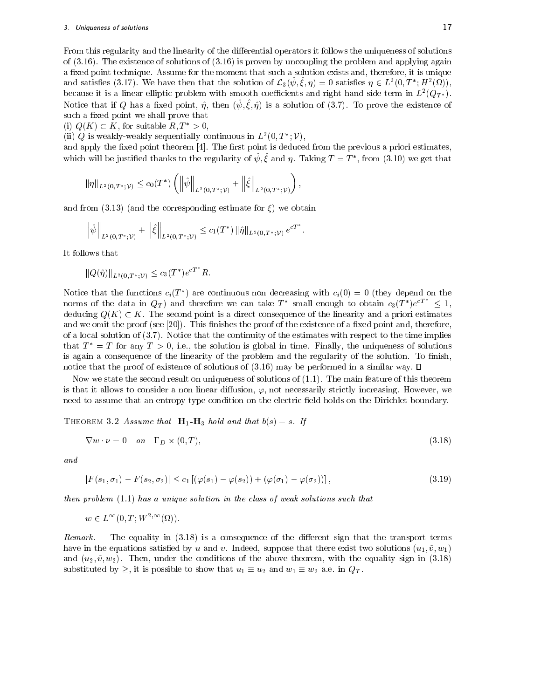From this regularity and the linearity of the differential operators it follows the uniqueness of solutions of (3.16). The existence of solutions of (3.16) is proven by uncoupling the problem and applying again a fixed point technique. Assume for the moment that such a solution exists and, therefore, it is unique and satisfies (3.17). We have then that the solution of  $\mathcal{L}_3(\psi, \xi, \eta) = 0$  satisfies  $\eta \in L^2(0, T^*; H^2(\Omega)),$ because it is a linear emptic problem with smooth coefficients and right hand side term in  $L^-(Q_T*)$ . INOTICE THAT II W HAS A HASU POINT,  $\eta$ , then  $(\psi, \zeta, \eta)$  is a solution of (3.7). To prove the existence of such a fixed point we shall prove that

(i)  $Q(K) \subset K$ , for suitable  $R, T^* > 0$ ,

(ii) Q is weakly-weakly sequentially continuous in  $L^2(0,T^*; \mathcal{V})$ ,

and apply the fixed point theorem [4]. The first point is deduced from the previous a priori estimates, which will be justified thanks to the regularity of  $\psi, \xi$  and  $\eta$ . Taking  $T = T$  , from (3.10) we get that

$$
\|\eta\|_{L^2(0,T^*;\mathcal{V})} \le c_0(T^*) \left( \left\|\hat{\psi}\right\|_{L^2(0,T^*;\mathcal{V})} + \left\|\hat{\xi}\right\|_{L^2(0,T^*;\mathcal{V})}\right),
$$

and from (3.13) (and the corresponding estimate for  $\xi$ ) we obtain

$$
\left\|\hat{\psi}\right\|_{L^2(0,T^*;\mathcal{V})} + \left\|\hat{\xi}\right\|_{L^2(0,T^*;\mathcal{V})} \leq c_1(T^*) \left\|\hat{\eta}\right\|_{L^2(0,T^*;\mathcal{V})} e^{cT^*}.
$$

It follows that

$$
||Q(\hat{\eta})||_{L^2(0,T^*; \mathcal{V})} \le c_3(T^*)e^{cT^*}R.
$$

Notice that the functions  $c_i(T)$  are continuous non decreasing with  $c_i(0) = 0$  (they depend on the norms of the data in  $Q_T$ ) and therefore we can take  $T^*$  small enough to obtain  $c_3(T^*)e^{cT^*} \leq 1$ , deducing  $Q(K) \subset K$ . The second point is a direct consequence of the linearity and a priori estimates and we omit the proof (see  $[20]$ ). This finishes the proof of the existence of a fixed point and, therefore, of a local solution of (3.7). Notice that the continuity of the estimates with respect to the time implies that  $T^* = T$  for any  $T > 0$ , i.e., the solution is global in time. Finally, the uniqueness of solutions is again a consequence of the linearity of the problem and the regularity of the solution. To finish, notice that the proof of existence of solutions of  $(3.16)$  may be performed in a similar way.  $\Box$ 

Now we state the second result on uniqueness of solutions of (1.1). The main feature of this theorem is that it allows to consider a non linear diffusion,  $\varphi$ , not necessarily strictly increasing. However, we need to assume that an entropy type condition on the electric field holds on the Dirichlet boundary.

THEOREM 3.2 Assume that  $H_1-H_3$  hold and that  $b(s) = s$ . If

$$
\nabla w \cdot \nu = 0 \quad on \quad \Gamma_D \times (0, T), \tag{3.18}
$$

and

$$
|F(s_1, \sigma_1) - F(s_2, \sigma_2)| \leq c_1 \left[ (\varphi(s_1) - \varphi(s_2)) + (\varphi(\sigma_1) - \varphi(\sigma_2)) \right],
$$
\n(3.19)

then problem (1.1) has a unique solution in the class of weak solutions such that

 $w \in L^{\infty}(0,T;W^{2,\infty}(\Omega)).$ 

Remark. The equality in  $(3.18)$  is a consequence of the different sign that the transport terms have in the equations satisfied by u and v. Indeed, suppose that there exist two solutions  $(u_1, \tilde{v}, w_1)$ and  $(u_2, \tilde{v}, w_2)$ . Then, under the conditions of the above theorem, with the equality sign in (3.18) substituted by  $\geq$ , it is possible to show that  $u_1 \equiv u_2$  and  $w_1 \equiv w_2$  a.e. in  $Q_T$ .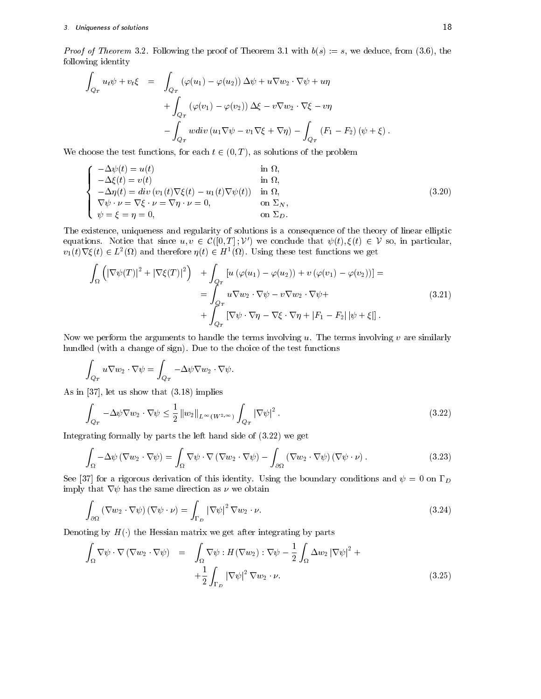*Proof of Theorem* 3.2. Following the proof of Theorem 3.1 with  $b(s) := s$ , we deduce, from (3.6), the following identity

$$
\int_{Q_T} u_t \psi + v_t \xi = \int_{Q_T} (\varphi(u_1) - \varphi(u_2)) \Delta \psi + u \nabla w_2 \cdot \nabla \psi + u \eta \n+ \int_{Q_T} (\varphi(v_1) - \varphi(v_2)) \Delta \xi - v \nabla w_2 \cdot \nabla \xi - v \eta \n- \int_{Q_T} w \operatorname{div} (u_1 \nabla \psi - v_1 \nabla \xi + \nabla \eta) - \int_{Q_T} (F_1 - F_2) (\psi + \xi).
$$

We choose the test functions, for each  $t \in (0, T)$ , as solutions of the problem

$$
\begin{cases}\n-\Delta \psi(t) = u(t) & \text{in } \Omega, \\
-\Delta \xi(t) = v(t) & \text{in } \Omega, \\
-\Delta \eta(t) = div (v_1(t) \nabla \xi(t) - u_1(t) \nabla \psi(t)) & \text{in } \Omega, \\
\nabla \psi \cdot \nu = \nabla \xi \cdot \nu = \nabla \eta \cdot \nu = 0, & \text{on } \Sigma_N, \\
\psi = \xi = \eta = 0, & \text{on } \Sigma_D.\n\end{cases}
$$
\n(3.20)

The existence, uniqueness and regularity of solutions is a consequence of the theory of linear elliptic equations. Notice that since  $u, v \in C([0,T]; \mathcal{V}')$  we conclude that  $\psi(t), \xi(t) \in \mathcal{V}$  so, in particular,  $v_1(t)\nabla \xi(t) \in L^2(\Omega)$  and therefore  $\eta(t) \in H^1(\Omega)$ . Using these test functions we get

$$
\int_{\Omega} \left( \left| \nabla \psi(T) \right|^2 + \left| \nabla \xi(T) \right|^2 \right) + \int_{Q_T} \left[ u \left( \varphi(u_1) - \varphi(u_2) \right) + v \left( \varphi(v_1) - \varphi(v_2) \right) \right] =
$$
\n
$$
= \int_{Q_T} u \nabla w_2 \cdot \nabla \psi - v \nabla w_2 \cdot \nabla \psi +
$$
\n
$$
+ \int_{Q_T} \left[ \nabla \psi \cdot \nabla \eta - \nabla \xi \cdot \nabla \eta + \left| F_1 - F_2 \right| \left| \psi + \xi \right| \right].
$$
\n(3.21)

Now we perform the arguments to handle the terms involving  $u$ . The terms involving  $v$  are similarly hundled (with a change of sign). Due to the choice of the test functions

$$
\int_{Q_T} u \nabla w_2 \cdot \nabla \psi = \int_{Q_T} -\Delta \psi \nabla w_2 \cdot \nabla \psi.
$$

As in [37], let us show that (3.18) implies

$$
\int_{Q_T} -\Delta \psi \nabla w_2 \cdot \nabla \psi \le \frac{1}{2} \left\| w_2 \right\|_{L^\infty(W^{2,\infty})} \int_{Q_T} \left| \nabla \psi \right|^2.
$$
\n(3.22)

Integrating formally by parts the left hand side of (3.22) we get

$$
\int_{\Omega} -\Delta \psi (\nabla w_2 \cdot \nabla \psi) = \int_{\Omega} \nabla \psi \cdot \nabla (\nabla w_2 \cdot \nabla \psi) - \int_{\partial \Omega} (\nabla w_2 \cdot \nabla \psi) (\nabla \psi \cdot \nu).
$$
\n(3.23)

See [37] for a rigorous derivation of this identity. Using the boundary conditions and  $\psi = 0$  on  $\Gamma_D$ imply that  $\nabla \psi$  has the same direction as  $\nu$  we obtain

$$
\int_{\partial\Omega} (\nabla w_2 \cdot \nabla \psi) (\nabla \psi \cdot \nu) = \int_{\Gamma_D} |\nabla \psi|^2 \nabla w_2 \cdot \nu.
$$
\n(3.24)

Denoting by  $H(\cdot)$  the Hessian matrix we get after integrating by parts

$$
\int_{\Omega} \nabla \psi \cdot \nabla (\nabla w_2 \cdot \nabla \psi) = \int_{\Omega} \nabla \psi : H(\nabla w_2) : \nabla \psi - \frac{1}{2} \int_{\Omega} \Delta w_2 |\nabla \psi|^2 + \n+ \frac{1}{2} \int_{\Gamma_D} |\nabla \psi|^2 \nabla w_2 \cdot \nu.
$$
\n(3.25)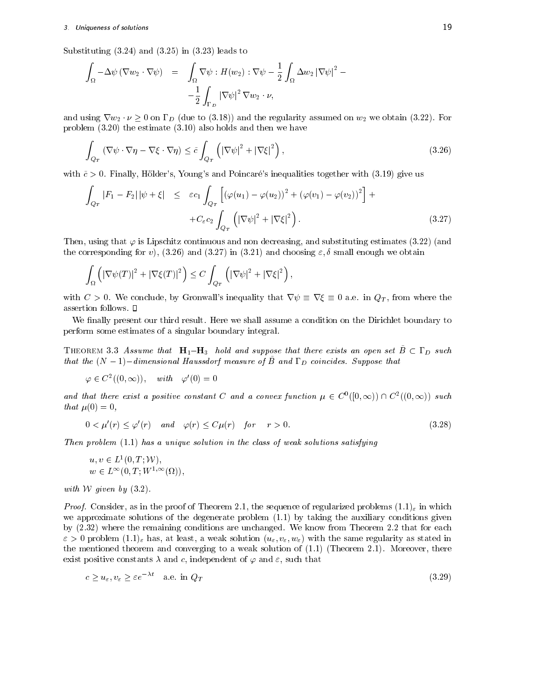# 3. Uniqueness of solutions 19

Substituting (3.24) and (3.25) in (3.23) leads to

$$
\int_{\Omega} -\Delta \psi (\nabla w_2 \cdot \nabla \psi) = \int_{\Omega} \nabla \psi : H(w_2) : \nabla \psi - \frac{1}{2} \int_{\Omega} \Delta w_2 |\nabla \psi|^2 - \frac{1}{2} \int_{\Gamma_D} |\nabla \psi|^2 \nabla w_2 \cdot \nu,
$$

and using  $\nabla w_2 \cdot \nu \geq 0$  on  $\Gamma_D$  (due to (3.18)) and the regularity assumed on  $w_2$  we obtain (3.22). For problem (3.20) the estimate (3.10) also holds and then we have

$$
\int_{Q_T} \left( \nabla \psi \cdot \nabla \eta - \nabla \xi \cdot \nabla \eta \right) \le \tilde{c} \int_{Q_T} \left( |\nabla \psi|^2 + |\nabla \xi|^2 \right),\tag{3.26}
$$

with  $\tilde{c} > 0$ . Finally, Hölder's, Young's and Poincaré's inequalities together with (3.19) give us

$$
\int_{Q_T} |F_1 - F_2| |\psi + \xi| \leq \varepsilon c_1 \int_{Q_T} \left[ (\varphi(u_1) - \varphi(u_2))^2 + (\varphi(v_1) - \varphi(v_2))^2 \right] +
$$
  
+ 
$$
C_{\varepsilon} c_2 \int_{Q_T} \left( |\nabla \psi|^2 + |\nabla \xi|^2 \right).
$$
 (3.27)

;

Then, using that  $\varphi$  is Lipschitz continuous and non decreasing, and substituting estimates (3.22) (and the corresponding for v), (3.26) and (3.27) in (3.21) and choosing  $\varepsilon$ ,  $\delta$  small enough we obtain

$$
\int_{\Omega} \left( \left| \nabla \psi(T) \right|^2 + \left| \nabla \xi(T) \right|^2 \right) \leq C \int_{Q_T} \left( \left| \nabla \psi \right|^2 + \left| \nabla \xi \right|^2 \right),
$$

with  $C > 0$ . We conclude, by Gronwall's inequality that  $\nabla \psi \equiv \nabla \xi \equiv 0$  a.e. in  $Q_T$ , from where the assertion follows.

We finally present our third result. Here we shall assume a condition on the Dirichlet boundary to perform some estimates of a singular boundary integral.

THEOREM 3.3 Assume that  $H_1-H_3$  hold and suppose that there exists an open set  $\tilde{B}\subset\Gamma_D$  such that the  $(N-1)-$ dimensional Haussdorf measure of  $\tilde{B}~$  and  $\Gamma_D~$  coincides. Suppose that

 $\varphi \in C^{\infty}((0,\infty)), \quad with \quad \varphi'(0) = 0$ 

and that there exist a positive constant C and a convex function  $\mu \in C^{\nu}([0,\infty)) \cap C^2((0,\infty))$  such that  $\mu(0) = 0$ ,

$$
0 < \mu'(r) \le \varphi'(r) \quad \text{and} \quad \varphi(r) \le C\mu(r) \quad \text{for} \quad r > 0. \tag{3.28}
$$

Then problem  $(1.1)$  has a unique solution in the class of weak solutions satisfying

$$
u, v \in L^1(0, T; \mathcal{W}),
$$
  

$$
w \in L^{\infty}(0, T; W^{1,\infty}(\Omega)),
$$

with W given by  $(3.2)$ .

*Proof.* Consider, as in the proof of Theorem 2.1, the sequence of regularized problems  $(1.1)_{\epsilon}$  in which we approximate solutions of the degenerate problem (1.1) by taking the auxiliary conditions given by (2.32) where the remaining conditions are unchanged. We know from Theorem 2.2 that for each  $\varepsilon > 0$  problem  $(1.1)_{\varepsilon}$  has, at least, a weak solution  $(u_{\varepsilon}, v_{\varepsilon}, w_{\varepsilon})$  with the same regularity as stated in the mentioned theorem and converging to a weak solution of (1.1) (Theorem 2.1). Moreover, there exist positive constants  $\lambda$  and c, independent of  $\varphi$  and  $\varepsilon$ , such that

$$
c \ge u_{\varepsilon}, v_{\varepsilon} \ge \varepsilon e^{-\lambda t} \quad \text{a.e. in } Q_T \tag{3.29}
$$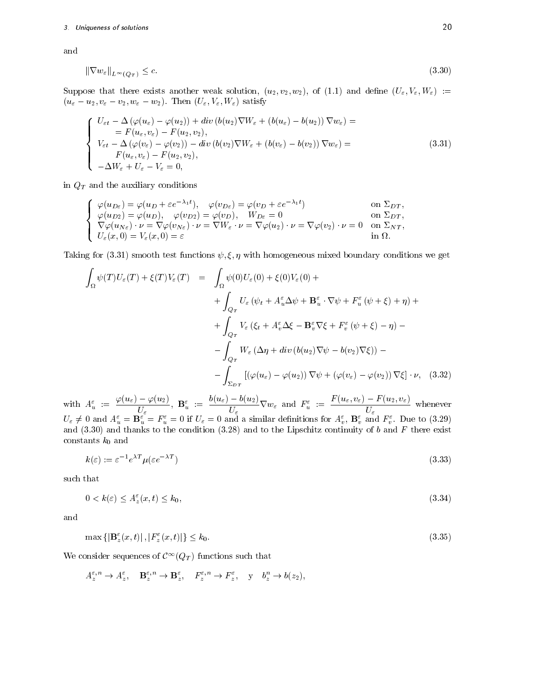and

$$
\|\nabla w_{\varepsilon}\|_{L^{\infty}(Q_T)} \leq c. \tag{3.30}
$$

Suppose that there exists another weak solution,  $(u_2, v_2, w_2)$ , of (1.1) and define  $(U_\varepsilon, V_\varepsilon, W_\varepsilon) :=$  $(u_{\varepsilon}-u_2, v_{\varepsilon}-v_2, w_{\varepsilon}-w_2)$ . Then  $(U_{\varepsilon}, V_{\varepsilon}, W_{\varepsilon})$  satisfy

$$
\begin{cases}\nU_{\varepsilon t} - \Delta \left(\varphi(u_{\varepsilon}) - \varphi(u_{2})\right) + div \left(b(u_{2}) \nabla W_{\varepsilon} + \left(b(u_{\varepsilon}) - b(u_{2})\right) \nabla w_{\varepsilon}\right) = \\
= F(u_{\varepsilon}, v_{\varepsilon}) - F(u_{2}, v_{2}), \\
V_{\varepsilon t} - \Delta \left(\varphi(v_{\varepsilon}) - \varphi(v_{2})\right) - div \left(b(v_{2}) \nabla W_{\varepsilon} + \left(b(v_{\varepsilon}) - b(v_{2})\right) \nabla w_{\varepsilon}\right) = \\
F(u_{\varepsilon}, v_{\varepsilon}) - F(u_{2}, v_{2}), \\
-\Delta W_{\varepsilon} + U_{\varepsilon} - V_{\varepsilon} = 0,\n\end{cases} \tag{3.31}
$$

in  $Q_T$  and the auxiliary conditions

$$
\begin{cases}\n\varphi(u_{D\epsilon}) = \varphi(u_{D} + \epsilon e^{-\lambda_{1}t}), & \varphi(v_{D\epsilon}) = \varphi(v_{D} + \epsilon e^{-\lambda_{1}t}) & \text{on } \Sigma_{DT}, \\
\varphi(u_{D2}) = \varphi(u_{D}), & \varphi(v_{D2}) = \varphi(v_{D}), & W_{D\epsilon} = 0 & \text{on } \Sigma_{DT}, \\
\nabla \varphi(u_{N\epsilon}) \cdot \nu = \nabla \varphi(v_{N\epsilon}) \cdot \nu = \nabla W_{\epsilon} \cdot \nu = \nabla \varphi(u_{2}) \cdot \nu = \nabla \varphi(v_{2}) \cdot \nu = 0 & \text{on } \Sigma_{NT}, \\
U_{\epsilon}(x, 0) = V_{\epsilon}(x, 0) = \epsilon & \text{in } \Omega.\n\end{cases}
$$

Taking for (3.31) smooth test functions  $\psi$ ,  $\xi$ ,  $\eta$  with homogeneous mixed boundary conditions we get

$$
\int_{\Omega} \psi(T)U_{\varepsilon}(T) + \xi(T)V_{\varepsilon}(T) = \int_{\Omega} \psi(0)U_{\varepsilon}(0) + \xi(0)V_{\varepsilon}(0) +\n+ \int_{Q_T} U_{\varepsilon}(\psi_t + A_u^{\varepsilon} \Delta \psi + \mathbf{B}_u^{\varepsilon} \cdot \nabla \psi + F_u^{\varepsilon}(\psi + \xi) + \eta) +\n+ \int_{Q_T} V_{\varepsilon}(\xi_t + A_v^{\varepsilon} \Delta \xi - \mathbf{B}_v^{\varepsilon} \nabla \xi + F_v^{\varepsilon}(\psi + \xi) - \eta) -\n- \int_{Q_T} W_{\varepsilon} (\Delta \eta + div (b(u_2) \nabla \psi - b(v_2) \nabla \xi)) -\n- \int_{\Sigma_{DT}} [(\varphi(u_{\varepsilon}) - \varphi(u_2)) \nabla \psi + (\varphi(v_{\varepsilon}) - \varphi(v_2)) \nabla \xi] \cdot \nu, \quad (3.32)
$$

with  $A_u^{\varepsilon} := \frac{\varphi(u_{\varepsilon}) - \varphi(u_2)}{U}$ ,  $\mathbf{B}_u^{\varepsilon}$ :  $\frac{\partial^2 \psi(u_1, u_2)}{\partial w}$ ,  $\mathbf{B}_{u}^{\varepsilon} := \frac{\partial^2 (u_1, u_2)}{\partial w} \nabla w_{\varepsilon}$  and  $F_{u}^{\varepsilon} := \frac{F(u_1, u_2, v_3)}{\partial w}$  when  $U_\varepsilon$  $U_{\varepsilon} \neq 0$  and  $A_{u}^{\varepsilon} = \mathbf{B}_{u}^{\varepsilon} = F_{u}^{\varepsilon} = 0$  if  $U_{\varepsilon} = 0$  and a similar definitions for  $A_{v}^{\varepsilon}$ ,  $\mathbf{B}_{v}^{\varepsilon}$  and  $F_{v}^{\varepsilon}$ . Due to (3.29) and thanks to thanks to thanks to the condition (3.28) and to the Lipschitz continuity of b and  $\Gamma$ constants  $k_0$  and

$$
k(\varepsilon) := \varepsilon^{-1} e^{\lambda T} \mu(\varepsilon e^{-\lambda T})
$$
\n(3.33)

such that

$$
0 < k(\varepsilon) \le A_z^\varepsilon(x, t) \le k_0,\tag{3.34}
$$

and

$$
\max\left\{ \left|\mathbf{B}_{z}^{\varepsilon}(x,t)\right|, \left|\mathbf{F}_{z}^{\varepsilon}(x,t)\right| \right\} \le k_{0}.\tag{3.35}
$$

We consider sequences of  $\mathcal{C}^\infty(Q_T)$  functions such that

$$
A_z^{\varepsilon,n} \to A_z^{\varepsilon}, \quad \mathbf{B}_z^{\varepsilon,n} \to \mathbf{B}_z^{\varepsilon}, \quad F_z^{\varepsilon,n} \to F_z^{\varepsilon}, \quad \text{y} \quad b_z^n \to b(z_2),
$$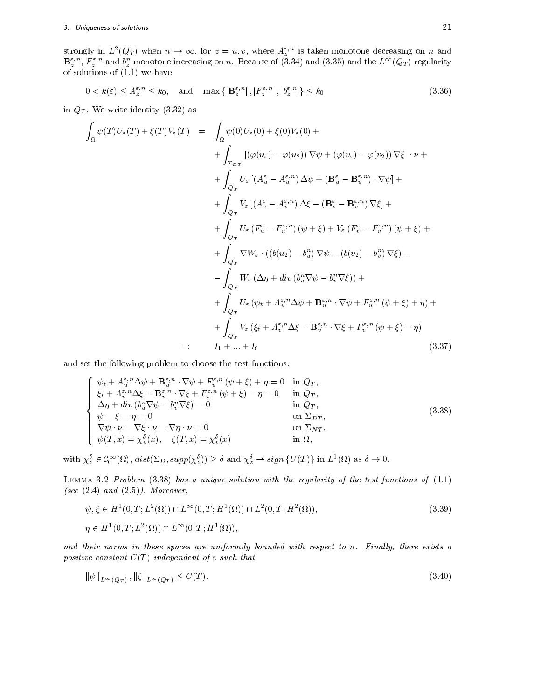strongly in  $L^2(Q_T)$  when  $n \to \infty$ , for  $z=u,v,$  where  $A^{z,n}_z$  is taken monotone decreasing on  $n$  and  $\mathbf{D}_z$ ,  $\mathbf{r}_z$ , and  $v_z$  monotone increasing on n. Because of (5.34) and (3.35) and the L  $\left(\mathcal{Q}_T\right)$  regularity of solutions of (1.1) we have

$$
0 < k(\varepsilon) \le A_z^{\varepsilon, n} \le k_0, \quad \text{and} \quad \max\left\{ |\mathbf{B}_z^{\varepsilon, n}|, |F_z^{\varepsilon, n}|, |b_z^{\varepsilon, n}| \right\} \le k_0 \tag{3.36}
$$

in  $Q_T$ . We write identity  $(3.32)$  as

$$
\int_{\Omega} \psi(T)U_{\varepsilon}(T) + \xi(T)V_{\varepsilon}(T) = \int_{\Omega} \psi(0)U_{\varepsilon}(0) + \xi(0)V_{\varepsilon}(0) +
$$
\n
$$
+ \int_{\Sigma_{DT}} [(\varphi(u_{\varepsilon}) - \varphi(u_{2})) \nabla \psi + (\varphi(v_{\varepsilon}) - \varphi(v_{2})) \nabla \xi] \cdot \nu +
$$
\n
$$
+ \int_{Q_{T}} U_{\varepsilon} [A_{u}^{\varepsilon} - A_{u}^{\varepsilon,n}) \Delta \psi + (\mathbf{B}_{u}^{\varepsilon} - \mathbf{B}_{u}^{\varepsilon,n}) \cdot \nabla \psi] +
$$
\n
$$
+ \int_{Q_{T}} V_{\varepsilon} [(A_{v}^{\varepsilon} - A_{v}^{\varepsilon,n}) \Delta \xi - (\mathbf{B}_{v}^{\varepsilon} - \mathbf{B}_{v}^{\varepsilon,n}) \nabla \xi] +
$$
\n
$$
+ \int_{Q_{T}} U_{\varepsilon} (F_{u}^{\varepsilon} - F_{u}^{\varepsilon,n}) (\psi + \xi) + V_{\varepsilon} (F_{v}^{\varepsilon} - F_{v}^{\varepsilon,n}) (\psi + \xi) +
$$
\n
$$
+ \int_{Q_{T}} \nabla W_{\varepsilon} \cdot ((b(u_{2}) - b_{u}^{n}) \nabla \psi - (b(v_{2}) - b_{v}^{n}) \nabla \xi) -
$$
\n
$$
- \int_{Q_{T}} W_{\varepsilon} (\Delta \eta + div (b_{u}^{n} \nabla \psi - b_{v}^{n} \nabla \xi)) +
$$
\n
$$
+ \int_{Q_{T}} U_{\varepsilon} (\psi_{t} + A_{u}^{\varepsilon,n} \Delta \psi + \mathbf{B}_{u}^{\varepsilon,n} \cdot \nabla \psi + F_{u}^{\varepsilon,n} (\psi + \xi) + \eta) +
$$
\n
$$
+ \int_{Q_{T}} V_{\varepsilon} (\xi_{t} + A_{v}^{\varepsilon,n} \Delta \xi - \mathbf{B}_{v}^{\varepsilon,n} \cdot \nabla \xi + F_{v}^{\varepsilon,n} (\psi + \xi) - \eta)
$$
\n
$$
=: I_{1} + ... + I_{9
$$

and set the following problem to choose the test functions:

$$
\begin{cases}\n\psi_t + A_{u}^{\varepsilon,n} \Delta \psi + \mathbf{B}_{u}^{\varepsilon,n} \cdot \nabla \psi + F_{u}^{\varepsilon,n} (\psi + \xi) + \eta = 0 & \text{in } Q_T, \\
\xi_t + A_{v}^{\varepsilon,n} \Delta \xi - \mathbf{B}_{v}^{\varepsilon,n} \cdot \nabla \xi + F_{v}^{\varepsilon,n} (\psi + \xi) - \eta = 0 & \text{in } Q_T, \\
\Delta \eta + div (b_{u}^n \nabla \psi - b_{v}^n \nabla \xi) = 0 & \text{in } Q_T, \\
\psi = \xi = \eta = 0 & \text{on } \Sigma_{DT}, \\
\nabla \psi \cdot \nu = \nabla \xi \cdot \nu = \nabla \eta \cdot \nu = 0 & \text{on } \Sigma_{NT}, \\
\psi(T, x) = \chi_u^{\delta}(x), \quad \xi(T, x) = \chi_v^{\delta}(x) & \text{in } \Omega,\n\end{cases}
$$
\n(3.38)

with  $\chi^{\delta}_{z} \in C_0^{\infty}(\Omega)$ ,  $dist(\Sigma_D, supp(\chi^{\delta}_{z})) \geq \delta$  and  $\chi^{\delta}_{z} \to sign\{U(T)\}\$ in  $L^1(\Omega)$  as  $\delta \to 0$ .

LEMMA 3.2 Problem  $(3.38)$  has a unique solution with the regularity of the test functions of  $(1.1)$ (see  $(2.4)$  and  $(2.5)$ ). Moreover,

$$
\psi, \xi \in H^1(0, T; L^2(\Omega)) \cap L^{\infty}(0, T; H^1(\Omega)) \cap L^2(0, T; H^2(\Omega)),
$$
\n
$$
\eta \in H^1(0, T; L^2(\Omega)) \cap L^{\infty}(0, T; H^1(\Omega)),
$$
\n(3.39)

and their norms in these spaces are uniformily bounded with respect to n. Finally, there exists a positive constant  $C(T)$  independent of  $\varepsilon$  such that

$$
\|\psi\|_{L^{\infty}(Q_T)}, \|\xi\|_{L^{\infty}(Q_T)} \le C(T). \tag{3.40}
$$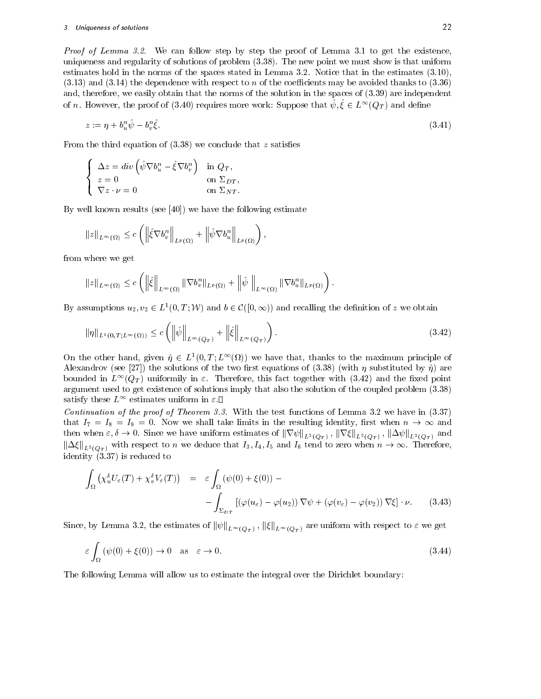Proof of Lemma 3.2. We can follow step by step the proof of Lemma 3.1 to get the existence, uniqueness and regularity of solutions of problem (3.38). The new point we must show is that uniform estimates hold in the norms of the spaces stated in Lemma 3.2. Notice that in the estimates (3.10),  $(3.13)$  and  $(3.14)$  the dependence with respect to n of the coefficients may be avoided thanks to  $(3.36)$ and, therefore, we easily obtain that the norms of the solution in the spaces of (3.39) are independent of n. However, the proof of (3.40) requires more work: Suppose that  $\psi, \xi \in L^{\infty}(Q_T)$  and define

$$
z := \eta + b_u^n \hat{\psi} - b_v^n \hat{\xi}.\tag{3.41}
$$

From the third equation of  $(3.38)$  we conclude that z satisfies

$$
\begin{cases}\n\Delta z = div \left( \hat{\psi} \nabla b_u^n - \hat{\xi} \nabla b_v^n \right) & \text{in } Q_T, \\
z = 0 & \text{on } \Sigma_{DT}, \\
\nabla z \cdot \nu = 0 & \text{on } \Sigma_{NT}.\n\end{cases}
$$

By well known results (see [40]) we have the following estimate

$$
||z||_{L^{\infty}(\Omega)} \leq c \left( \left\| \hat{\xi} \nabla b_v^n \right\|_{L^p(\Omega)} + \left\| \hat{\psi} \nabla b_u^n \right\|_{L^p(\Omega)} \right),
$$

from where we get

$$
||z||_{L^{\infty}(\Omega)} \leq c \left( \left\|\hat{\xi}\right\|_{L^{\infty}(\Omega)} \left\|\nabla b_v^n\right\|_{L^p(\Omega)} + \left\|\hat{\psi}\right\|_{L^{\infty}(\Omega)} \left\|\nabla b_u^n\right\|_{L^p(\Omega)}\right).
$$

By assumptions  $u_2, v_2 \in L^1(0,T; \mathcal{W})$  and  $b \in \mathcal{C}([0,\infty))$  and recalling the definition of z we obtain

$$
\|\eta\|_{L^1(0,T;L^\infty(\Omega))} \le c \left( \left\|\hat{\psi}\right\|_{L^\infty(Q_T)} + \left\|\hat{\xi}\right\|_{L^\infty(Q_T)} \right). \tag{3.42}
$$

On the other hand, given  $\eta \in L^1(0,T; L^{\infty}(\Omega))$  we have that, thanks to the maximum principle of Alexandrov (see [27]) the solutions of the two first equations of (3.38) (with  $\eta$  substituted by  $\hat{\eta}$ ) are bounded in  $L^{\infty}(Q_T)$  uniformily in  $\varepsilon$ . Therefore, this fact together with (3.42) and the fixed point argument used to get existence of solutions imply that also the solution of the coupled problem (3.38) satisfy these  $L^{\infty}$  estimates uniform in  $\varepsilon$ .

Continuation of the proof of Theorem 3.3. With the test functions of Lemma 3.2 we have in  $(3.37)$ that  $I_7 = I_8 = I_9 = 0$ . Now we shall take limits in the resulting identity, first when  $n \to \infty$  and then when  $\varepsilon, \delta \to 0$ . Since we have uniform estimates of  $\|\nabla \psi\|_{L^2(Q_T)}$ ,  $\|\nabla \xi\|_{L^2(Q_T)}$ ,  $\|\Delta \psi\|_{L^2(Q_T)}$  and  $\|\Delta\xi\|_{L^2(Q_T)}$  with respect to n we deduce that  $I_3, I_4, I_5$  and  $I_6$  tend to zero when  $n \to \infty$ . Therefore, identity (3.37) is reduced to

$$
\int_{\Omega} \left( \chi_u^{\delta} U_{\varepsilon}(T) + \chi_v^{\delta} V_{\varepsilon}(T) \right) = \varepsilon \int_{\Omega} \left( \psi(0) + \xi(0) \right) - \int_{\Sigma_{DT}} \left[ \left( \varphi(u_{\varepsilon}) - \varphi(u_{2}) \right) \nabla \psi + \left( \varphi(v_{\varepsilon}) - \varphi(v_{2}) \right) \nabla \xi \right] \cdot \nu. \tag{3.43}
$$

Since, by Lemma 3.2, the estimates of  $\|\psi\|_{L^\infty(Q_T)}$  ,  $\|\xi\|_{L^\infty(Q_T)}$  are uniform with respect to  $\varepsilon$  we get

$$
\varepsilon \int_{\Omega} \left( \psi(0) + \xi(0) \right) \to 0 \quad \text{as} \quad \varepsilon \to 0. \tag{3.44}
$$

The following Lemma will allow us to estimate the integral over the Dirichlet boundary: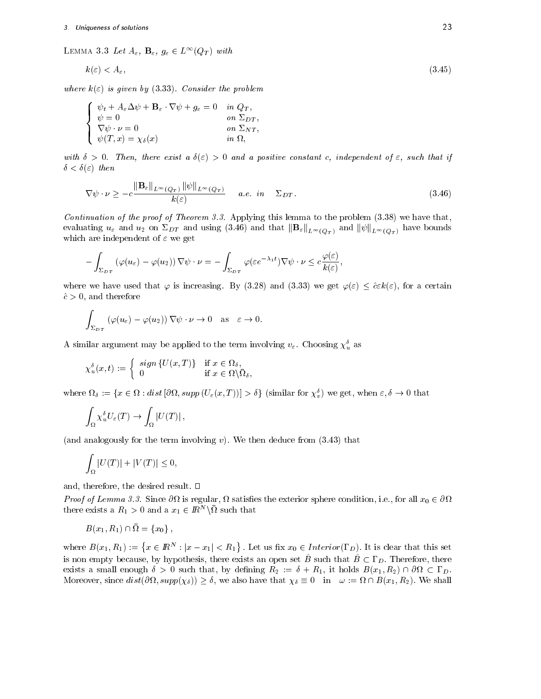LEMMA 3.3 Let  $A_{\varepsilon}$ ,  $\mathbf{B}_{\varepsilon}$ ,  $g_{\varepsilon} \in L^{\infty}(Q_T)$  with

$$
k(\varepsilon) < A_{\varepsilon},\tag{3.45}
$$

where  $k(\varepsilon)$  is given by (3.33). Consider the problem

$$
\begin{cases}\n\psi_t + A_{\varepsilon} \Delta \psi + \mathbf{B}_{\varepsilon} \cdot \nabla \psi + g_{\varepsilon} = 0 & \text{in } Q_T, \\
\psi = 0 & \text{on } \Sigma_{DT}, \\
\nabla \psi \cdot \nu = 0 & \text{on } \Sigma_{NT}, \\
\psi(T, x) = \chi_{\delta}(x) & \text{in } \Omega,\n\end{cases}
$$

with  $\delta > 0$ . Then, there exist a  $\delta(\varepsilon) > 0$  and a positive constant c, independent of  $\varepsilon$ , such that if  $\delta < \delta(\varepsilon)$  then

$$
\nabla \psi \cdot \nu \ge -c \frac{\|\mathbf{B}_{\varepsilon}\|_{L^{\infty}(Q_T)} \|\psi\|_{L^{\infty}(Q_T)}}{k(\varepsilon)} \qquad a.e. \quad in \qquad \Sigma_{DT}.
$$
\n(3.46)

Continuation of the proof of Theorem 3.3. Applying this lemma to the problem  $(3.38)$  we have that, evaluating  $u_\varepsilon$  and  $u_2$  on  $\Sigma_{DT}$  and using (3.46) and that  $\|\mathbf{B}_{\varepsilon}\|_{L^{\infty}(Q_T)}$  and  $\|\psi\|_{L^{\infty}(Q_T)}$  have bounds which are independent of  $\varepsilon$  we get

$$
-\int_{\Sigma_{DT}} (\varphi(u_{\varepsilon})-\varphi(u_2))\nabla\psi\cdot\nu=-\int_{\Sigma_{DT}} \varphi(\varepsilon e^{-\lambda_1t})\nabla\psi\cdot\nu\leq c\frac{\varphi(\varepsilon)}{k(\varepsilon)},
$$

where we have used that  $\varphi$  is increasing. By (3.28) and (3.33) we get  $\varphi(\varepsilon) \leq \hat{c}\varepsilon k(\varepsilon)$ , for a certain  $\hat{c} > 0$ , and therefore

$$
\int_{\Sigma_{DT}} (\varphi(u_{\varepsilon}) - \varphi(u_2)) \nabla \psi \cdot \nu \to 0 \quad \text{as} \quad \varepsilon \to 0.
$$

A similar argument may be applied to the term involving  $v_{\varepsilon}$ . Choosing  $\chi^{\delta}_{u}$  as

$$
\chi_u^{\delta}(x,t) := \begin{cases} sign\{U(x,T)\} & \text{if } x \in \Omega_{\delta}, \\ 0 & \text{if } x \in \Omega \setminus \overline{\Omega}_{\delta}, \end{cases}
$$

where  $\Omega_{\delta} := \{x \in \Omega : dist\left[\partial \Omega, supp\left(U_{\varepsilon}(x,T)\right)\right] > \delta\}$  (similar for  $\chi_v^{\delta}$ ) we get, when  $\varepsilon, \delta \to 0$  that

$$
\int_{\Omega} \chi_u^{\delta} U_{\varepsilon}(T) \to \int_{\Omega} |U(T)|,
$$

(and analogously for the term involving v). We then deduce from  $(3.43)$  that

$$
\int_{\Omega} |U(T)| + |V(T)| \le 0,
$$

and, therefore, the desired result.  $\square$ 

Proof of Lemma 3.3. Since  $\partial\Omega$  is regular,  $\Omega$  satisfies the exterior sphere condition, i.e., for all  $x_0 \in \partial\Omega$ there exists a  $R_1 > 0$  and a  $x_1 \in I\!\!R^N \backslash \Omega$  such that

$$
B(x_1, R_1) \cap \overline{\Omega} = \{x_0\},\,
$$

where  $B(x_1, R_1) := \{x \in \mathbb{R}^N : |x - x_1| < R_1\}$ . Let us fix  $x_0 \in Interior(\Gamma_D)$ . It is clear that this set is non empty because, by hypothesis, there exists an open set  $\tilde{B}$  such that  $\tilde{B}\subset \Gamma_D$ . Therefore, there exists a small enough  $\delta > 0$  such that, by defining  $R_2 := \delta + R_1$ , it holds  $B(x_1, R_2) \cap \partial \Omega \subset \Gamma_D$ . exists a small enough  $\delta > 0$  such that, by defining  $R_2 := \delta + R_1$ , it holds  $B(x_1, R_2) \cap \partial \Omega \subset \Gamma_D$ .<br>Moreover, since  $dist(\partial \Omega, supp(\chi_{\delta})) \ge \delta$ , we also have that  $\chi_{\delta} \equiv 0$  in  $\omega := \Omega \cap B(x_1, R_2)$ . We shall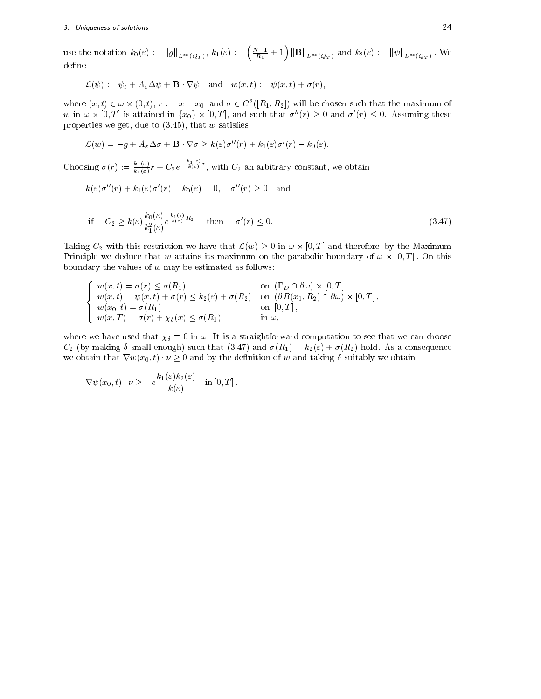use the notation  $k_0(\varepsilon) := \|g\|_{L^\infty(Q_T)}, k_1(\varepsilon) := \left(\frac{N-1}{R_1} + 1\right) \|\mathbf{B}\|_{L^\infty(Q_T)}$  and  $k_2(\varepsilon) := \|\psi\|_{L^\infty(Q_T)}$ . We define

$$
\mathcal{L}(\psi):=\psi_t+A_\varepsilon\Delta\psi+\mathbf{B}\cdot\nabla\psi\quad\text{and}\quad w(x,t):=\psi(x,t)+\sigma(r),
$$

where  $(x, t) \in \omega \times (0, t)$ ,  $r := |x - x_0|$  and  $\sigma \in C^2([R_1, R_2])$  will be chosen such that the maximum of w in  $\bar{\omega} \times [0,T]$  is attained in  $\{x_0\} \times [0,T]$ , and such that  $\sigma''(r) \geq 0$  and  $\sigma'(r) \leq 0$ . Assuming these properties we get, due to  $(3.45)$ , that w satisfies

$$
\mathcal{L}(w) = -g + A_{\varepsilon} \Delta \sigma + \mathbf{B} \cdot \nabla \sigma \geq k(\varepsilon) \sigma''(r) + k_1(\varepsilon) \sigma'(r) - k_0(\varepsilon).
$$

Choosing  $\sigma(r) := \frac{k_0(\varepsilon)}{k_1(\varepsilon)}r + C_2e^{-\frac{1}{k(\varepsilon)}}^r$ , with  $C_2$  an arbitrary constant, we obtain

$$
k(\varepsilon)\sigma''(r) + k_1(\varepsilon)\sigma'(r) - k_0(\varepsilon) = 0
$$
,  $\sigma''(r) \ge 0$  and

if 
$$
C_2 \ge k(\varepsilon) \frac{k_0(\varepsilon)}{k_1^2(\varepsilon)} e^{\frac{k_1(\varepsilon)}{k(\varepsilon)} R_2}
$$
 then  $\sigma'(r) \le 0$ . (3.47)

Taking  $C_2$  with this restriction we have that  $\mathcal{L}(w) \geq 0$  in  $\bar{\omega} \times [0,T]$  and therefore, by the Maximum Principle we deduce that w attains its maximum on the parabolic boundary of  $\omega \times [0,T]$ . On this boundary the values of  $w$  may be estimated as follows:

$$
\begin{cases}\nw(x,t) = \sigma(r) \leq \sigma(R_1) & \text{on } (\Gamma_D \cap \partial \omega) \times [0,T], \\
w(x,t) = \psi(x,t) + \sigma(r) \leq k_2(\varepsilon) + \sigma(R_2) & \text{on } (\partial B(x_1, R_2) \cap \partial \omega) \times [0,T], \\
w(x_0,t) = \sigma(R_1) & \text{on } [0,T], \\
w(x,T) = \sigma(r) + \chi_{\delta}(x) \leq \sigma(R_1) & \text{in } \omega,\n\end{cases}
$$

where we have used that  $\chi_{\delta} \equiv 0$  in  $\omega$ . It is a straightforward computation to see that we can choose  $C_2$  (by making  $\delta$  small enough) such that (3.47) and  $\sigma(R_1) = k_2(\epsilon) + \sigma(R_2)$  hold. As a consequence we obtain that  $\nabla w(x_0,t) \cdot \nu \geq 0$  and by the definition of w and taking  $\delta$  suitably we obtain

$$
\nabla \psi(x_0, t) \cdot \nu \geq -c \frac{k_1(\varepsilon)k_2(\varepsilon)}{k(\varepsilon)} \quad \text{in } [0, T].
$$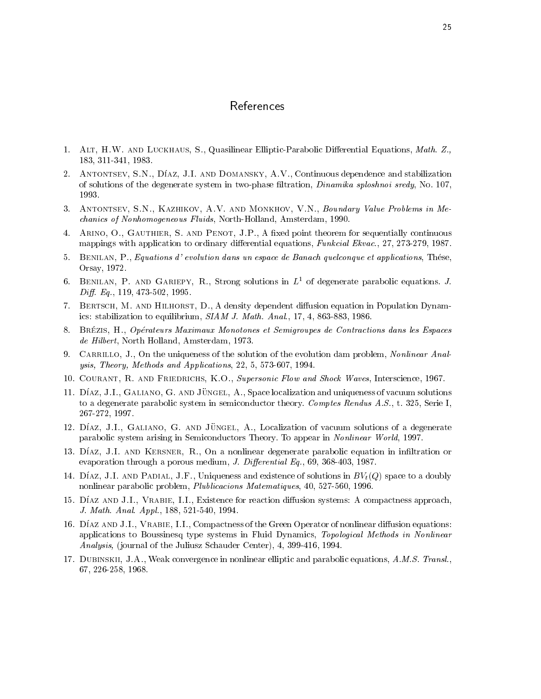# References

- 1. ALT, H.W. AND LUCKHAUS, S., Quasilinear Elliptic-Parabolic Differential Equations, Math. Z., 183, 311-341, 1983.
- 2. ANTONTSEV, S.N., DÍAZ, J.I. AND DOMANSKY, A.V., Continuous dependence and stabilization of solutions of the degenerate system in two-phase filtration, *Dinamika sploshnoi sredy*, No. 107, 1993.
- 3. Antontsev, S.N., Kazhikov, A.V. and Monkhov, V.N., Boundary Value Problems in Mechanics of Nonhomogeneous Fluids, North-Holland, Amsterdam, 1990.
- 4. ARINO, O., GAUTHIER, S. AND PENOT, J.P., A fixed point theorem for sequentially continuous mappings with application to ordinary differential equations, Funkcial Ekvac., 27, 273-279, 1987.
- 5. Benilan, P., Equations d' evolution dans un espace de Banach quelconque et applications, These, Orsay, 1972.
- 6. BENILAN, P. AND GARIEPY, R., Strong solutions in  $L^1$  of degenerate parabolic equations. J.  $Diff. Eq., 119, 473-502, 1995.$
- 7. BERTSCH, M. AND HILHORST, D., A density dependent diffusion equation in Population Dynamics: stabilization to equilibrium, SIAM J. Math. Anal., 17, 4, 863-883, 1986.
- 8. BRÉZIS, H., Opérateurs Maximaux Monotones et Semigroupes de Contractions dans les Espaces de Hilbert, North Holland, Amsterdam, 1973.
- 9. CARRILLO, J., On the uniqueness of the solution of the evolution dam problem, Nonlinear Analysis, Theory, Methods and Applications, 22, 5, 573-607, 1994.
- 10. Courant, R. and Friedrichs, K.O., Supersonic Flow and Shock Waves, Interscience, 1967.
- 11. Díaz, J.I., GALIANO, G. AND JÜNGEL, A., Space localization and uniqueness of vacuum solutions to a degenerate parabolic system in semiconductor theory. Comptes Rendus  $A.S., t. 325,$  Serie I, 267-272, 1997.
- 12. DÍAZ, J.I., GALIANO, G. AND JÜNGEL, A., Localization of vacuum solutions of a degenerate parabolic system arising in Semiconductors Theory. To appear in Nonlinear World, 1997.
- 13. Díaz, J.I. AND KERSNER, R., On a nonlinear degenerate parabolic equation in infiltration or evaporation through a porous medium, J. Differential  $Eq.$ , 69, 368-403, 1987.
- 14. DÍAZ, J.I. AND PADIAL, J.F., Uniqueness and existence of solutions in  $BV_t(Q)$  space to a doubly nonlinear parabolic problem, Plublicacions Matematiques, 40, 527-560, 1996.
- 15. DÍAZ AND J.I., VRABIE, I.I., Existence for reaction diffusion systems: A compactness approach, J. Math. Anal. Appl., 188, 521-540, 1994.
- 16. DÍAZ AND J.I., VRABIE, I.I., Compactness of the Green Operator of nonlinear diffusion equations: applications to Boussinesq type systems in Fluid Dynamics, Topological Methods in Nonlinear Analysis, (journal of the Juliusz Schauder Center), 4, 399-416, 1994.
- 17. Dubinskii, J.A., Weak convergence in nonlinear elliptic and parabolic equations, A.M.S. Transl., 67, 226-258, 1968.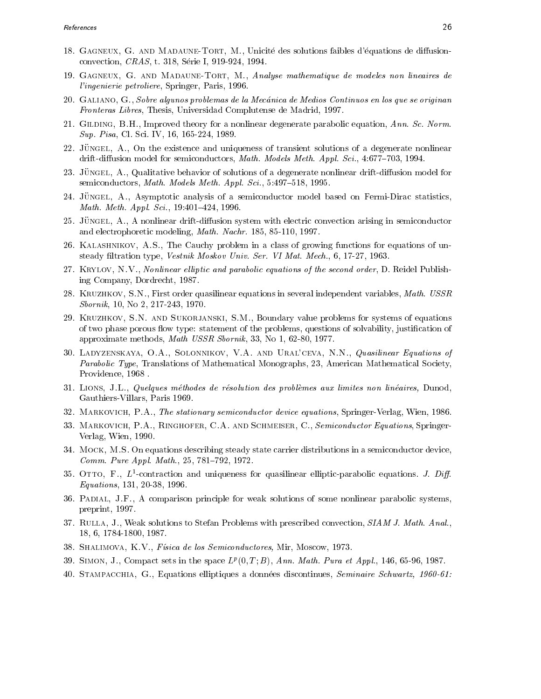- 18. GAGNEUX, G. AND MADAUNE-TORT, M., Unicité des solutions faibles d'équations de diffusionconvection, CRAS, t. 318, Serie I, 919-924, 1994.
- 19. Gagneux, G. and Madaune-Tort, M., Analyse mathematique de modeles non lineaires de l'ingenierie petroliere, Springer, Paris, 1996.
- 20. Galiano, G., Sobre algunos problemas de la Mecanica de Medios Continuos en los que se originan Fronteras Libres, Thesis, Universidad Complutense de Madrid, 1997.
- 21. GILDING, B.H., Improved theory for a nonlinear degenerate parabolic equation, Ann. Sc. Norm. Sup. Pisa, Cl. Sci. IV, 16, 165-224, 1989.
- 22. JÜNGEL, A., On the existence and uniqueness of transient solutions of a degenerate nonlinear drift-diffusion model for semiconductors, *Math. Models Meth. Appl. Sci.*,  $4:677-703$ , 1994.
- 23. JÜNGEL, A., Qualitative behavior of solutions of a degenerate nonlinear drift-diffusion model for semiconductors, Math. Models Meth. Appl. Sci., 5:497-518, 1995.
- 24. JUNGEL, A., Asymptotic analysis of a semiconductor model based on Fermi-Dirac statistics, Math. Meth. Appl. Sci.,  $19:401-424$ , 1996.
- 25. JÜNGEL,  $A_{\cdot}$ , A nonlinear drift-diffusion system with electric convection arising in semiconductor and electrophoretic modeling, Math. Nachr. 185, 85-110, 1997.
- 26. Kalashnikov, A.S., The Cauchy problem in a class of growing functions for equations of unsteady filtration type, Vestnik Moskov Univ. Ser. VI Mat. Mech., 6, 17-27, 1963.
- 27. KRYLOV, N.V., Nonlinear elliptic and parabolic equations of the second order, D. Reidel Publishing Company, Dordrecht, 1987.
- 28. KRUZHKOV, S.N., First order quasilinear equations in several independent variables, Math. USSR Sbornik, 10, No 2, 217-243, 1970.
- 29. Kruzhkov, S.N. and Sukorjanski, S.M., Boundary value problems for systems of equations of two phase porous flow type: statement of the problems, questions of solvability, justification of approximate methods, Math USSR Sbornik, 33, No 1, 62-80, 1977.
- 30. Ladyzenskaya, O.A., Solonnikov, V.A. and Ural'ceva, N.N., Quasilinear Equations of Parabolic Type, Translations of Mathematical Monographs, 23, American Mathematical Society, Providence, 1968 .
- 31. Lions, J.L., Quelques methodes de resolution des problemes aux limites non lineaires, Dunod, Gauthiers-Villars, Paris 1969.
- 32. Markovich, P.A., The stationary semiconductor device equations, Springer-Verlag, Wien, 1986.
- 33. MARKOVICH, P.A., RINGHOFER, C.A. AND SCHMEISER, C., Semiconductor Equations, Springer-Verlag, Wien, 1990.
- 34. Mock, M.S. On equations describing steady state carrier distributions in a semiconductor device, Comm. Pure Appl. Math., 25, 781-792, 1972.
- $39.$  OTTO, F.,  $L^*$ -contraction and uniqueness for quasilinear emptic-parabolic equations. J.  $Dif$ Equations, 131, 20-38, 1996.
- 36. Padial, J.F., A comparison principle for weak solutions of some nonlinear parabolic systems, preprint, 1997.
- 37. RULLA, J., Weak solutions to Stefan Problems with prescribed convection, SIAM J. Math. Anal., 18, 6, 1784-1800, 1987.
- 38. SHALIMOVA, K.V., Física de los Semiconductores, Mir, Moscow, 1973.
- $39.$  SIMON, J., Compact sets in the space  $L^p(0,1;D)$ , Ann. Math. Pura et Appl., 140, 05-90, 1987.
- 40. STAMPACCHIA, G., Equations elliptiques a données discontinues, Seminaire Schwartz, 1960-61: